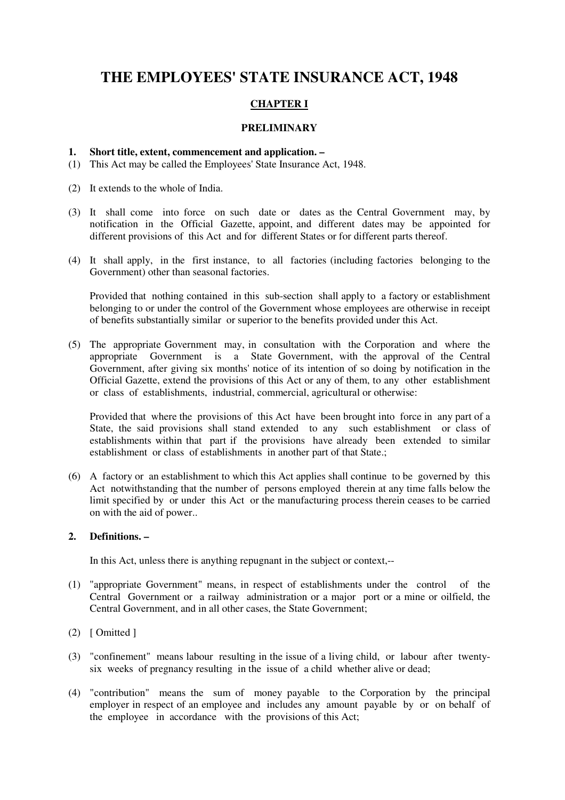# **THE EMPLOYEES' STATE INSURANCE ACT, 1948**

# **CHAPTER I**

# **PRELIMINARY**

### **1. Short title, extent, commencement and application. –**

- (1) This Act may be called the Employees' State Insurance Act, 1948.
- (2) It extends to the whole of India.
- (3) It shall come into force on such date or dates as the Central Government may, by notification in the Official Gazette, appoint, and different dates may be appointed for different provisions of this Act and for different States or for different parts thereof.
- (4) It shall apply, in the first instance, to all factories (including factories belonging to the Government) other than seasonal factories.

Provided that nothing contained in this sub-section shall apply to a factory or establishment belonging to or under the control of the Government whose employees are otherwise in receipt of benefits substantially similar or superior to the benefits provided under this Act.

(5) The appropriate Government may, in consultation with the Corporation and where the appropriate Government is a State Government, with the approval of the Central Government, after giving six months' notice of its intention of so doing by notification in the Official Gazette, extend the provisions of this Act or any of them, to any other establishment or class of establishments, industrial, commercial, agricultural or otherwise:

Provided that where the provisions of this Act have been brought into force in any part of a State, the said provisions shall stand extended to any such establishment or class of establishments within that part if the provisions have already been extended to similar establishment or class of establishments in another part of that State.;

(6) A factory or an establishment to which this Act applies shall continue to be governed by this Act notwithstanding that the number of persons employed therein at any time falls below the limit specified by or under this Act or the manufacturing process therein ceases to be carried on with the aid of power..

### **2. Definitions. –**

In this Act, unless there is anything repugnant in the subject or context,--

- (1) "appropriate Government" means, in respect of establishments under the control of the Central Government or a railway administration or a major port or a mine or oilfield, the Central Government, and in all other cases, the State Government;
- $(2)$  [ Omitted ]
- (3) "confinement" means labour resulting in the issue of a living child, or labour after twentysix weeks of pregnancy resulting in the issue of a child whether alive or dead;
- (4) "contribution" means the sum of money payable to the Corporation by the principal employer in respect of an employee and includes any amount payable by or on behalf of the employee in accordance with the provisions of this Act;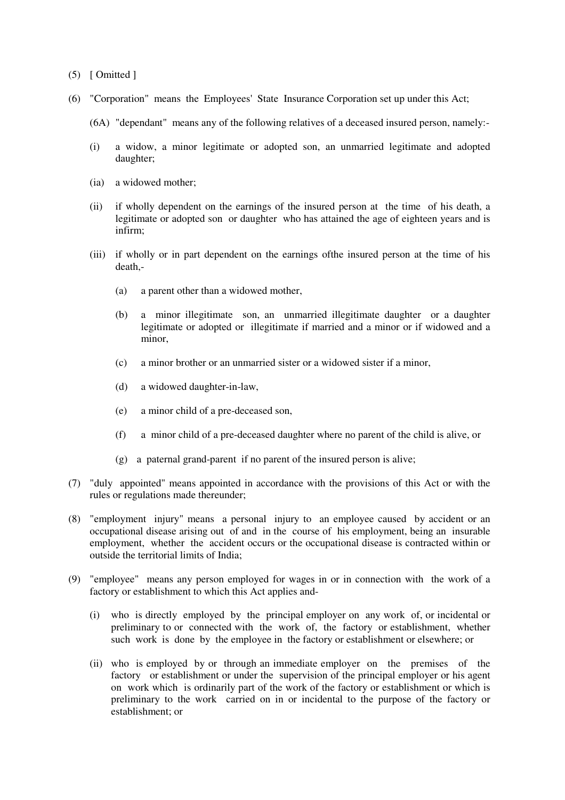- $(5)$  [ Omitted ]
- (6) "Corporation" means the Employees' State Insurance Corporation set up under this Act;
	- (6A) "dependant" means any of the following relatives of a deceased insured person, namely:-
	- (i) a widow, a minor legitimate or adopted son, an unmarried legitimate and adopted daughter;
	- (ia) a widowed mother;
	- (ii) if wholly dependent on the earnings of the insured person at the time of his death, a legitimate or adopted son or daughter who has attained the age of eighteen years and is infirm;
	- (iii) if wholly or in part dependent on the earnings ofthe insured person at the time of his death,-
		- (a) a parent other than a widowed mother,
		- (b) a minor illegitimate son, an unmarried illegitimate daughter or a daughter legitimate or adopted or illegitimate if married and a minor or if widowed and a minor,
		- (c) a minor brother or an unmarried sister or a widowed sister if a minor,
		- (d) a widowed daughter-in-law,
		- (e) a minor child of a pre-deceased son,
		- (f) a minor child of a pre-deceased daughter where no parent of the child is alive, or
		- (g) a paternal grand-parent if no parent of the insured person is alive;
- (7) "duly appointed" means appointed in accordance with the provisions of this Act or with the rules or regulations made thereunder;
- (8) "employment injury" means a personal injury to an employee caused by accident or an occupational disease arising out of and in the course of his employment, being an insurable employment, whether the accident occurs or the occupational disease is contracted within or outside the territorial limits of India;
- (9) "employee" means any person employed for wages in or in connection with the work of a factory or establishment to which this Act applies and-
	- (i) who is directly employed by the principal employer on any work of, or incidental or preliminary to or connected with the work of, the factory or establishment, whether such work is done by the employee in the factory or establishment or elsewhere; or
	- (ii) who is employed by or through an immediate employer on the premises of the factory or establishment or under the supervision of the principal employer or his agent on work which is ordinarily part of the work of the factory or establishment or which is preliminary to the work carried on in or incidental to the purpose of the factory or establishment; or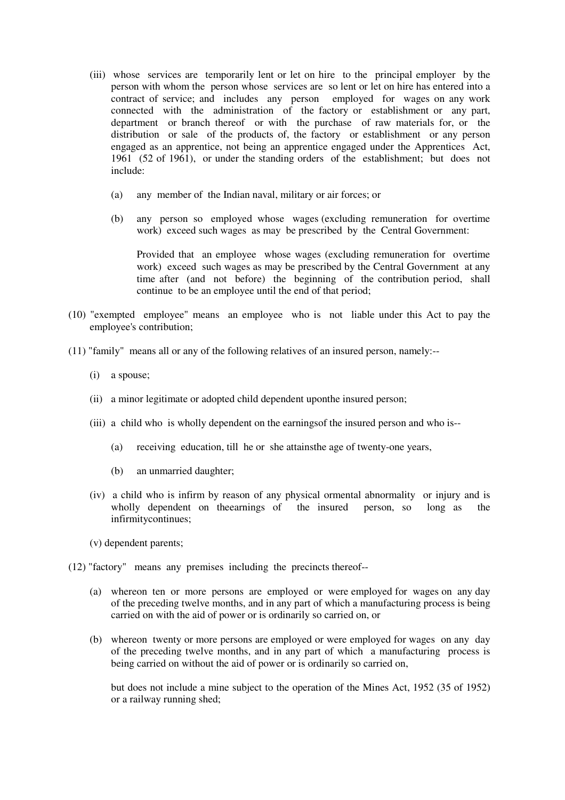- (iii) whose services are temporarily lent or let on hire to the principal employer by the person with whom the person whose services are so lent or let on hire has entered into a contract of service; and includes any person employed for wages on any work connected with the administration of the factory or establishment or any part, department or branch thereof or with the purchase of raw materials for, or the distribution or sale of the products of, the factory or establishment or any person engaged as an apprentice, not being an apprentice engaged under the Apprentices Act, 1961 (52 of 1961), or under the standing orders of the establishment; but does not include:
	- (a) any member of the Indian naval, military or air forces; or
	- (b) any person so employed whose wages (excluding remuneration for overtime work) exceed such wages as may be prescribed by the Central Government:

 Provided that an employee whose wages (excluding remuneration for overtime work) exceed such wages as may be prescribed by the Central Government at any time after (and not before) the beginning of the contribution period, shall continue to be an employee until the end of that period;

- (10) "exempted employee" means an employee who is not liable under this Act to pay the employee's contribution;
- (11) "family" means all or any of the following relatives of an insured person, namely:--
	- (i) a spouse;
	- (ii) a minor legitimate or adopted child dependent uponthe insured person;
	- (iii) a child who is wholly dependent on the earningsof the insured person and who is--
		- (a) receiving education, till he or she attainsthe age of twenty-one years,
		- (b) an unmarried daughter;
	- (iv) a child who is infirm by reason of any physical ormental abnormality or injury and is wholly dependent on theearnings of the insured person, so long as the infirmitycontinues;
	- (v) dependent parents;
- (12) "factory" means any premises including the precincts thereof--
	- (a) whereon ten or more persons are employed or were employed for wages on any day of the preceding twelve months, and in any part of which a manufacturing process is being carried on with the aid of power or is ordinarily so carried on, or
	- (b) whereon twenty or more persons are employed or were employed for wages on any day of the preceding twelve months, and in any part of which a manufacturing process is being carried on without the aid of power or is ordinarily so carried on,

but does not include a mine subject to the operation of the Mines Act, 1952 (35 of 1952) or a railway running shed;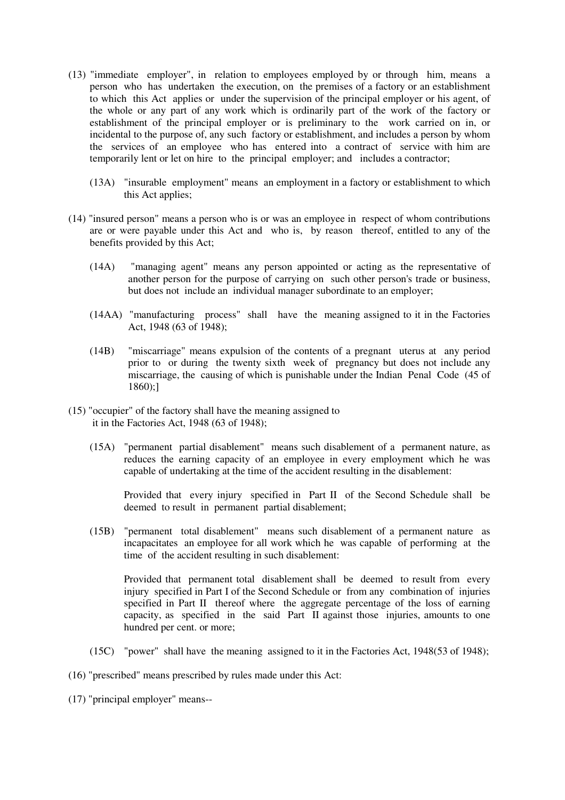- (13) "immediate employer", in relation to employees employed by or through him, means a person who has undertaken the execution, on the premises of a factory or an establishment to which this Act applies or under the supervision of the principal employer or his agent, of the whole or any part of any work which is ordinarily part of the work of the factory or establishment of the principal employer or is preliminary to the work carried on in, or incidental to the purpose of, any such factory or establishment, and includes a person by whom the services of an employee who has entered into a contract of service with him are temporarily lent or let on hire to the principal employer; and includes a contractor;
	- (13A) "insurable employment" means an employment in a factory or establishment to which this Act applies;
- (14) "insured person" means a person who is or was an employee in respect of whom contributions are or were payable under this Act and who is, by reason thereof, entitled to any of the benefits provided by this Act;
	- (14A) "managing agent" means any person appointed or acting as the representative of another person for the purpose of carrying on such other person's trade or business, but does not include an individual manager subordinate to an employer;
	- (14AA) "manufacturing process" shall have the meaning assigned to it in the Factories Act, 1948 (63 of 1948);
	- (14B) "miscarriage" means expulsion of the contents of a pregnant uterus at any period prior to or during the twenty sixth week of pregnancy but does not include any miscarriage, the causing of which is punishable under the Indian Penal Code (45 of 1860);]
- (15) "occupier" of the factory shall have the meaning assigned to it in the Factories Act, 1948 (63 of 1948);
	- (15A) "permanent partial disablement" means such disablement of a permanent nature, as reduces the earning capacity of an employee in every employment which he was capable of undertaking at the time of the accident resulting in the disablement:

Provided that every injury specified in Part II of the Second Schedule shall be deemed to result in permanent partial disablement;

(15B) "permanent total disablement" means such disablement of a permanent nature as incapacitates an employee for all work which he was capable of performing at the time of the accident resulting in such disablement:

Provided that permanent total disablement shall be deemed to result from every injury specified in Part I of the Second Schedule or from any combination of injuries specified in Part II thereof where the aggregate percentage of the loss of earning capacity, as specified in the said Part II against those injuries, amounts to one hundred per cent. or more;

- (15C) "power" shall have the meaning assigned to it in the Factories Act, 1948(53 of 1948);
- (16) "prescribed" means prescribed by rules made under this Act:
- (17) "principal employer" means--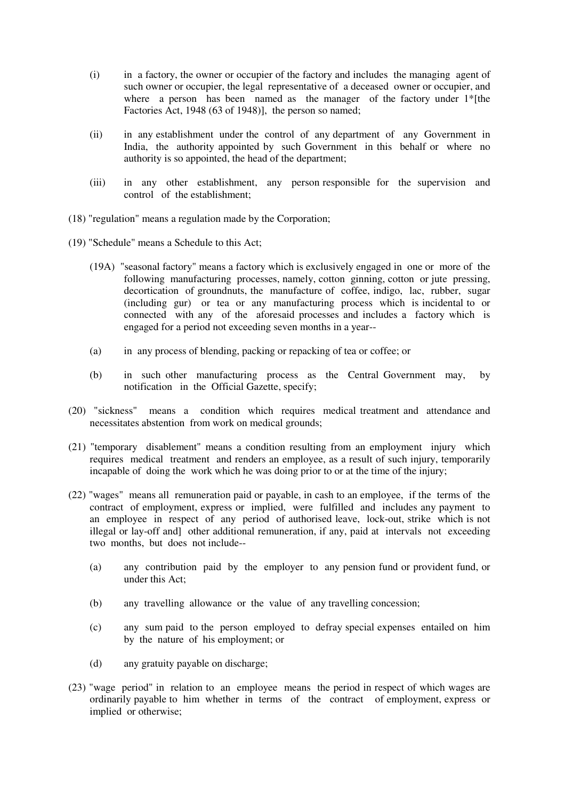- (i) in a factory, the owner or occupier of the factory and includes the managing agent of such owner or occupier, the legal representative of a deceased owner or occupier, and where a person has been named as the manager of the factory under 1<sup>\*</sup>[the Factories Act, 1948 (63 of 1948)], the person so named;
- (ii) in any establishment under the control of any department of any Government in India, the authority appointed by such Government in this behalf or where no authority is so appointed, the head of the department;
- (iii) in any other establishment, any person responsible for the supervision and control of the establishment;
- (18) "regulation" means a regulation made by the Corporation;
- (19) "Schedule" means a Schedule to this Act;
	- (19A) "seasonal factory" means a factory which is exclusively engaged in one or more of the following manufacturing processes, namely, cotton ginning, cotton or jute pressing, decortication of groundnuts, the manufacture of coffee, indigo, lac, rubber, sugar (including gur) or tea or any manufacturing process which is incidental to or connected with any of the aforesaid processes and includes a factory which is engaged for a period not exceeding seven months in a year--
	- (a) in any process of blending, packing or repacking of tea or coffee; or
	- (b) in such other manufacturing process as the Central Government may, by notification in the Official Gazette, specify;
- (20) "sickness" means a condition which requires medical treatment and attendance and necessitates abstention from work on medical grounds;
- (21) "temporary disablement" means a condition resulting from an employment injury which requires medical treatment and renders an employee, as a result of such injury, temporarily incapable of doing the work which he was doing prior to or at the time of the injury;
- (22) "wages" means all remuneration paid or payable, in cash to an employee, if the terms of the contract of employment, express or implied, were fulfilled and includes any payment to an employee in respect of any period of authorised leave, lock-out, strike which is not illegal or lay-off and] other additional remuneration, if any, paid at intervals not exceeding two months, but does not include--
	- (a) any contribution paid by the employer to any pension fund or provident fund, or under this Act;
	- (b) any travelling allowance or the value of any travelling concession;
	- (c) any sum paid to the person employed to defray special expenses entailed on him by the nature of his employment; or
	- (d) any gratuity payable on discharge;
- (23) "wage period" in relation to an employee means the period in respect of which wages are ordinarily payable to him whether in terms of the contract of employment, express or implied or otherwise;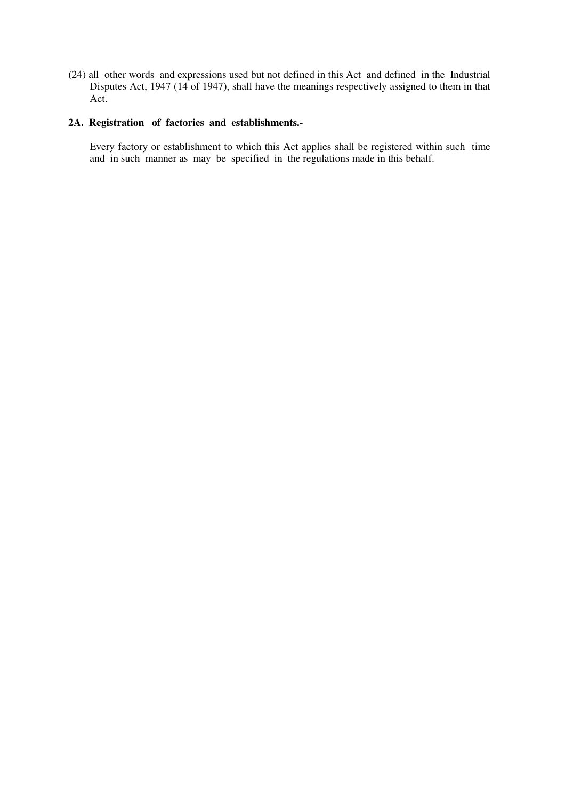(24) all other words and expressions used but not defined in this Act and defined in the Industrial Disputes Act, 1947 (14 of 1947), shall have the meanings respectively assigned to them in that Act.

# **2A. Registration of factories and establishments.-**

Every factory or establishment to which this Act applies shall be registered within such time and in such manner as may be specified in the regulations made in this behalf.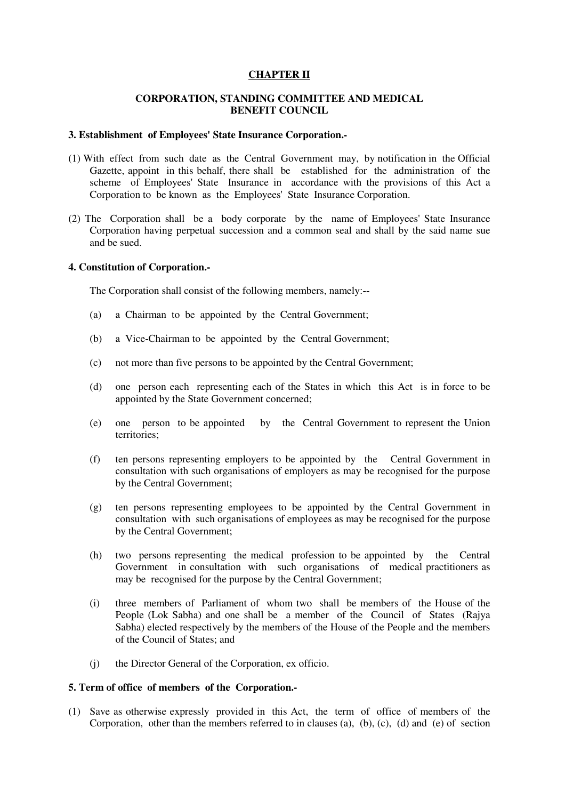### **CHAPTER II**

### **CORPORATION, STANDING COMMITTEE AND MEDICAL BENEFIT COUNCIL**

#### **3. Establishment of Employees' State Insurance Corporation.-**

- (1) With effect from such date as the Central Government may, by notification in the Official Gazette, appoint in this behalf, there shall be established for the administration of the scheme of Employees' State Insurance in accordance with the provisions of this Act a Corporation to be known as the Employees' State Insurance Corporation.
- (2) The Corporation shall be a body corporate by the name of Employees' State Insurance Corporation having perpetual succession and a common seal and shall by the said name sue and be sued.

#### **4. Constitution of Corporation.-**

The Corporation shall consist of the following members, namely:--

- (a) a Chairman to be appointed by the Central Government;
- (b) a Vice-Chairman to be appointed by the Central Government;
- (c) not more than five persons to be appointed by the Central Government;
- (d) one person each representing each of the States in which this Act is in force to be appointed by the State Government concerned;
- (e) one person to be appointed by the Central Government to represent the Union territories;
- (f) ten persons representing employers to be appointed by the Central Government in consultation with such organisations of employers as may be recognised for the purpose by the Central Government;
- (g) ten persons representing employees to be appointed by the Central Government in consultation with such organisations of employees as may be recognised for the purpose by the Central Government;
- (h) two persons representing the medical profession to be appointed by the Central Government in consultation with such organisations of medical practitioners as may be recognised for the purpose by the Central Government;
- (i) three members of Parliament of whom two shall be members of the House of the People (Lok Sabha) and one shall be a member of the Council of States (Rajya Sabha) elected respectively by the members of the House of the People and the members of the Council of States; and
- (j) the Director General of the Corporation, ex officio.

#### **5. Term of office of members of the Corporation.-**

(1) Save as otherwise expressly provided in this Act, the term of office of members of the Corporation, other than the members referred to in clauses (a), (b), (c), (d) and (e) of section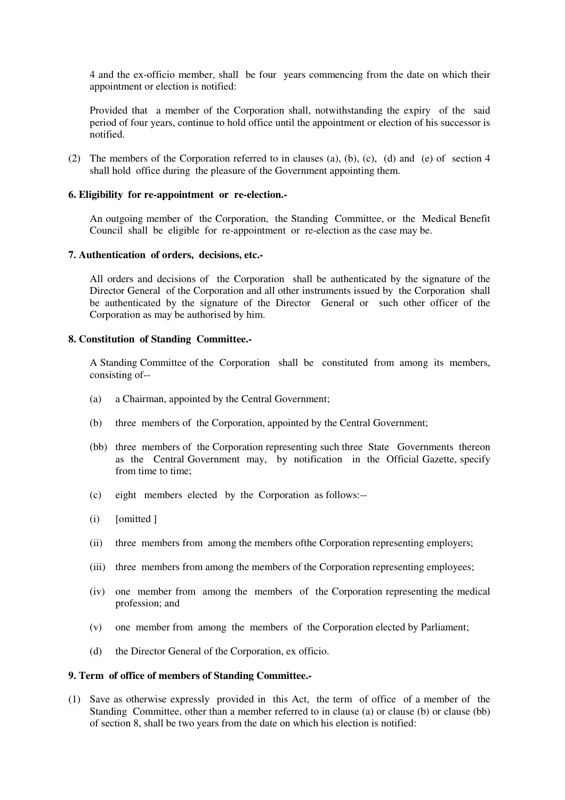4 and the ex-officio member, shall be four years commencing from the date on which their appointment or election is notified:

Provided that a member of the Corporation shall, notwithstanding the expiry of the said period of four years, continue to hold office until the appointment or election of his successor is notified.

(2) The members of the Corporation referred to in clauses (a), (b), (c), (d) and (e) of section 4 shall hold office during the pleasure of the Government appointing them.

### **6. Eligibility for re-appointment or re-election.-**

An outgoing member of the Corporation, the Standing Committee, or the Medical Benefit Council shall be eligible for re-appointment or re-election as the case may be.

#### **7. Authentication of orders, decisions, etc.-**

All orders and decisions of the Corporation shall be authenticated by the signature of the Director General of the Corporation and all other instruments issued by the Corporation shall be authenticated by the signature of the Director General or such other officer of the Corporation as may be authorised by him.

### **8. Constitution of Standing Committee.-**

A Standing Committee of the Corporation shall be constituted from among its members, consisting of--

- (a) a Chairman, appointed by the Central Government;
- (b) three members of the Corporation, appointed by the Central Government;
- (bb) three members of the Corporation representing such three State Governments thereon as the Central Government may, by notification in the Official Gazette, specify from time to time;
- (c) eight members elected by the Corporation as follows:--
- (i) [omitted ]
- (ii) three members from among the members ofthe Corporation representing employers;
- (iii) three members from among the members of the Corporation representing employees;
- (iv) one member from among the members of the Corporation representing the medical profession; and
- (v) one member from among the members of the Corporation elected by Parliament;
- (d) the Director General of the Corporation, ex officio.

### **9. Term of office of members of Standing Committee.-**

(1) Save as otherwise expressly provided in this Act, the term of office of a member of the Standing Committee, other than a member referred to in clause (a) or clause (b) or clause (bb) of section 8, shall be two years from the date on which his election is notified: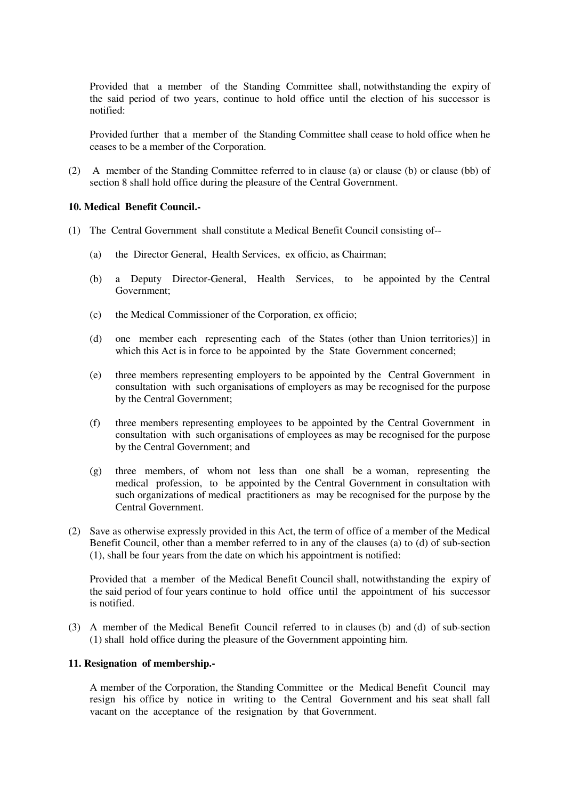Provided that a member of the Standing Committee shall, notwithstanding the expiry of the said period of two years, continue to hold office until the election of his successor is notified:

Provided further that a member of the Standing Committee shall cease to hold office when he ceases to be a member of the Corporation.

(2) A member of the Standing Committee referred to in clause (a) or clause (b) or clause (bb) of section 8 shall hold office during the pleasure of the Central Government.

### **10. Medical Benefit Council.-**

- (1) The Central Government shall constitute a Medical Benefit Council consisting of--
	- (a) the Director General, Health Services, ex officio, as Chairman;
	- (b) a Deputy Director-General, Health Services, to be appointed by the Central Government;
	- (c) the Medical Commissioner of the Corporation, ex officio;
	- (d) one member each representing each of the States (other than Union territories)] in which this Act is in force to be appointed by the State Government concerned:
	- (e) three members representing employers to be appointed by the Central Government in consultation with such organisations of employers as may be recognised for the purpose by the Central Government;
	- (f) three members representing employees to be appointed by the Central Government in consultation with such organisations of employees as may be recognised for the purpose by the Central Government; and
	- (g) three members, of whom not less than one shall be a woman, representing the medical profession, to be appointed by the Central Government in consultation with such organizations of medical practitioners as may be recognised for the purpose by the Central Government.
- (2) Save as otherwise expressly provided in this Act, the term of office of a member of the Medical Benefit Council, other than a member referred to in any of the clauses (a) to (d) of sub-section (1), shall be four years from the date on which his appointment is notified:

Provided that a member of the Medical Benefit Council shall, notwithstanding the expiry of the said period of four years continue to hold office until the appointment of his successor is notified.

(3) A member of the Medical Benefit Council referred to in clauses (b) and (d) of sub-section (1) shall hold office during the pleasure of the Government appointing him.

#### **11. Resignation of membership.-**

A member of the Corporation, the Standing Committee or the Medical Benefit Council may resign his office by notice in writing to the Central Government and his seat shall fall vacant on the acceptance of the resignation by that Government.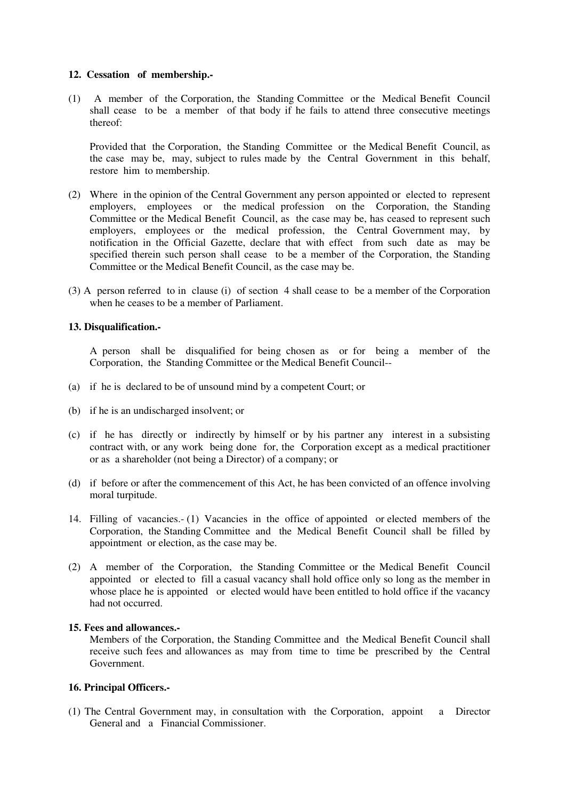#### **12. Cessation of membership.-**

(1) A member of the Corporation, the Standing Committee or the Medical Benefit Council shall cease to be a member of that body if he fails to attend three consecutive meetings thereof:

Provided that the Corporation, the Standing Committee or the Medical Benefit Council, as the case may be, may, subject to rules made by the Central Government in this behalf, restore him to membership.

- (2) Where in the opinion of the Central Government any person appointed or elected to represent employers, employees or the medical profession on the Corporation, the Standing Committee or the Medical Benefit Council, as the case may be, has ceased to represent such employers, employees or the medical profession, the Central Government may, by notification in the Official Gazette, declare that with effect from such date as may be specified therein such person shall cease to be a member of the Corporation, the Standing Committee or the Medical Benefit Council, as the case may be.
- (3) A person referred to in clause (i) of section 4 shall cease to be a member of the Corporation when he ceases to be a member of Parliament.

#### **13. Disqualification.-**

A person shall be disqualified for being chosen as or for being a member of the Corporation, the Standing Committee or the Medical Benefit Council--

- (a) if he is declared to be of unsound mind by a competent Court; or
- (b) if he is an undischarged insolvent; or
- (c) if he has directly or indirectly by himself or by his partner any interest in a subsisting contract with, or any work being done for, the Corporation except as a medical practitioner or as a shareholder (not being a Director) of a company; or
- (d) if before or after the commencement of this Act, he has been convicted of an offence involving moral turpitude.
- 14. Filling of vacancies.- (1) Vacancies in the office of appointed or elected members of the Corporation, the Standing Committee and the Medical Benefit Council shall be filled by appointment or election, as the case may be.
- (2) A member of the Corporation, the Standing Committee or the Medical Benefit Council appointed or elected to fill a casual vacancy shall hold office only so long as the member in whose place he is appointed or elected would have been entitled to hold office if the vacancy had not occurred.

#### **15. Fees and allowances.-**

Members of the Corporation, the Standing Committee and the Medical Benefit Council shall receive such fees and allowances as may from time to time be prescribed by the Central Government.

#### **16. Principal Officers.-**

(1) The Central Government may, in consultation with the Corporation, appoint a Director General and a Financial Commissioner.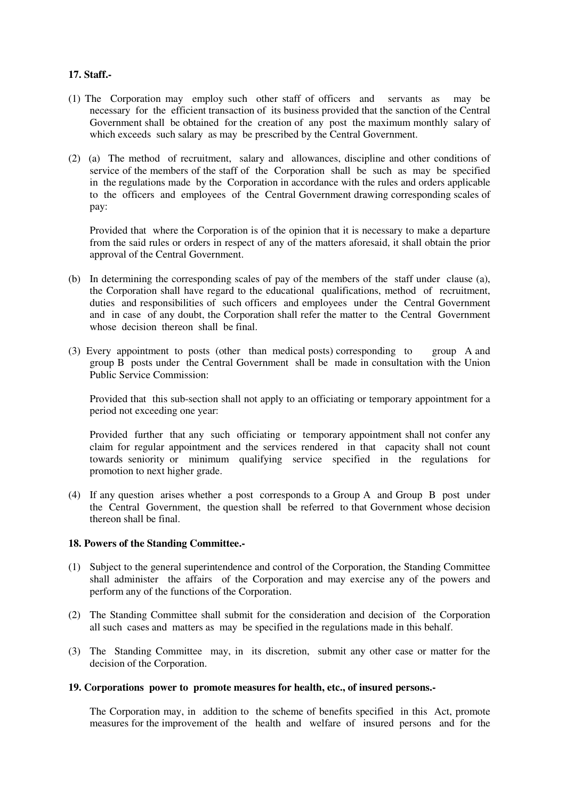### **17. Staff.-**

- (1) The Corporation may employ such other staff of officers and servants as may be necessary for the efficient transaction of its business provided that the sanction of the Central Government shall be obtained for the creation of any post the maximum monthly salary of which exceeds such salary as may be prescribed by the Central Government.
- (2) (a) The method of recruitment, salary and allowances, discipline and other conditions of service of the members of the staff of the Corporation shall be such as may be specified in the regulations made by the Corporation in accordance with the rules and orders applicable to the officers and employees of the Central Government drawing corresponding scales of pay:

Provided that where the Corporation is of the opinion that it is necessary to make a departure from the said rules or orders in respect of any of the matters aforesaid, it shall obtain the prior approval of the Central Government.

- (b) In determining the corresponding scales of pay of the members of the staff under clause (a), the Corporation shall have regard to the educational qualifications, method of recruitment, duties and responsibilities of such officers and employees under the Central Government and in case of any doubt, the Corporation shall refer the matter to the Central Government whose decision thereon shall be final.
- (3) Every appointment to posts (other than medical posts) corresponding to group A and group B posts under the Central Government shall be made in consultation with the Union Public Service Commission:

Provided that this sub-section shall not apply to an officiating or temporary appointment for a period not exceeding one year:

Provided further that any such officiating or temporary appointment shall not confer any claim for regular appointment and the services rendered in that capacity shall not count towards seniority or minimum qualifying service specified in the regulations for promotion to next higher grade.

(4) If any question arises whether a post corresponds to a Group A and Group B post under the Central Government, the question shall be referred to that Government whose decision thereon shall be final.

#### **18. Powers of the Standing Committee.-**

- (1) Subject to the general superintendence and control of the Corporation, the Standing Committee shall administer the affairs of the Corporation and may exercise any of the powers and perform any of the functions of the Corporation.
- (2) The Standing Committee shall submit for the consideration and decision of the Corporation all such cases and matters as may be specified in the regulations made in this behalf.
- (3) The Standing Committee may, in its discretion, submit any other case or matter for the decision of the Corporation.

#### **19. Corporations power to promote measures for health, etc., of insured persons.-**

The Corporation may, in addition to the scheme of benefits specified in this Act, promote measures for the improvement of the health and welfare of insured persons and for the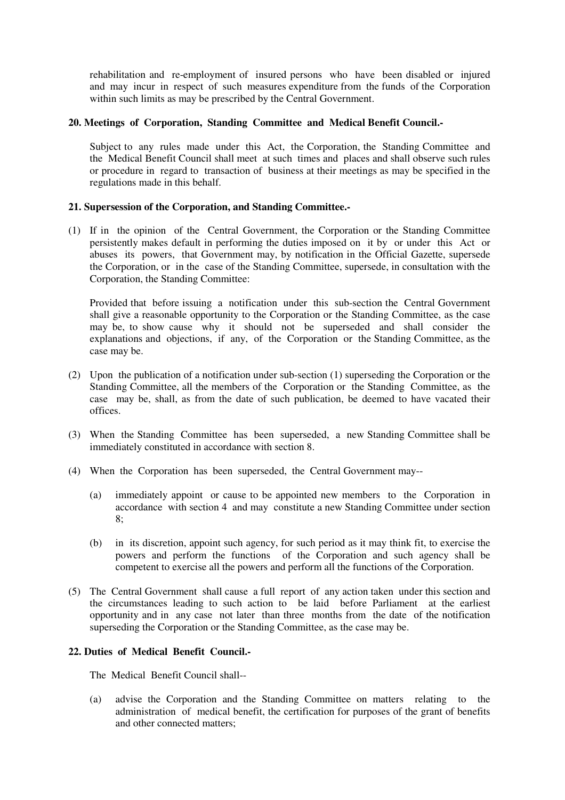rehabilitation and re-employment of insured persons who have been disabled or injured and may incur in respect of such measures expenditure from the funds of the Corporation within such limits as may be prescribed by the Central Government.

### **20. Meetings of Corporation, Standing Committee and Medical Benefit Council.-**

Subject to any rules made under this Act, the Corporation, the Standing Committee and the Medical Benefit Council shall meet at such times and places and shall observe such rules or procedure in regard to transaction of business at their meetings as may be specified in the regulations made in this behalf.

# **21. Supersession of the Corporation, and Standing Committee.-**

(1) If in the opinion of the Central Government, the Corporation or the Standing Committee persistently makes default in performing the duties imposed on it by or under this Act or abuses its powers, that Government may, by notification in the Official Gazette, supersede the Corporation, or in the case of the Standing Committee, supersede, in consultation with the Corporation, the Standing Committee:

Provided that before issuing a notification under this sub-section the Central Government shall give a reasonable opportunity to the Corporation or the Standing Committee, as the case may be, to show cause why it should not be superseded and shall consider the explanations and objections, if any, of the Corporation or the Standing Committee, as the case may be.

- (2) Upon the publication of a notification under sub-section (1) superseding the Corporation or the Standing Committee, all the members of the Corporation or the Standing Committee, as the case may be, shall, as from the date of such publication, be deemed to have vacated their offices.
- (3) When the Standing Committee has been superseded, a new Standing Committee shall be immediately constituted in accordance with section 8.
- (4) When the Corporation has been superseded, the Central Government may--
	- (a) immediately appoint or cause to be appointed new members to the Corporation in accordance with section 4 and may constitute a new Standing Committee under section 8;
	- (b) in its discretion, appoint such agency, for such period as it may think fit, to exercise the powers and perform the functions of the Corporation and such agency shall be competent to exercise all the powers and perform all the functions of the Corporation.
- (5) The Central Government shall cause a full report of any action taken under this section and the circumstances leading to such action to be laid before Parliament at the earliest opportunity and in any case not later than three months from the date of the notification superseding the Corporation or the Standing Committee, as the case may be.

### **22. Duties of Medical Benefit Council.-**

The Medical Benefit Council shall--

(a) advise the Corporation and the Standing Committee on matters relating to the administration of medical benefit, the certification for purposes of the grant of benefits and other connected matters;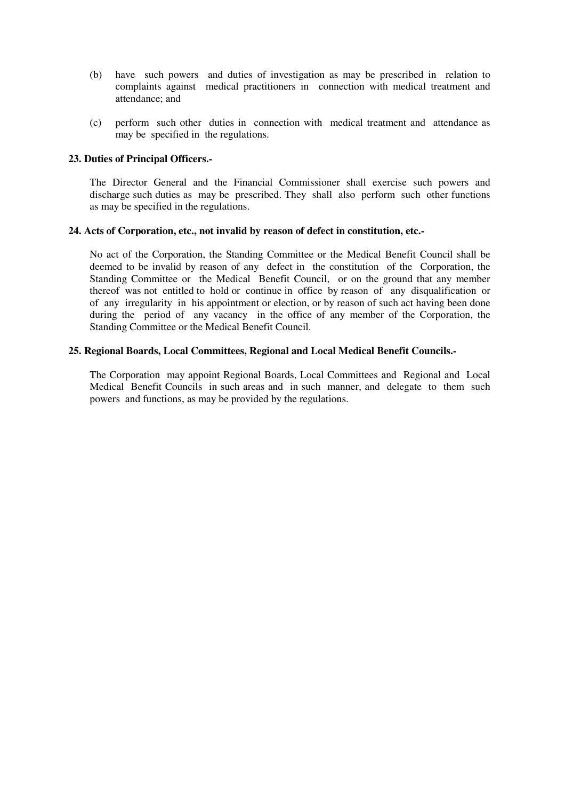- (b) have such powers and duties of investigation as may be prescribed in relation to complaints against medical practitioners in connection with medical treatment and attendance; and
- (c) perform such other duties in connection with medical treatment and attendance as may be specified in the regulations.

### **23. Duties of Principal Officers.-**

The Director General and the Financial Commissioner shall exercise such powers and discharge such duties as may be prescribed. They shall also perform such other functions as may be specified in the regulations.

### **24. Acts of Corporation, etc., not invalid by reason of defect in constitution, etc.-**

No act of the Corporation, the Standing Committee or the Medical Benefit Council shall be deemed to be invalid by reason of any defect in the constitution of the Corporation, the Standing Committee or the Medical Benefit Council, or on the ground that any member thereof was not entitled to hold or continue in office by reason of any disqualification or of any irregularity in his appointment or election, or by reason of such act having been done during the period of any vacancy in the office of any member of the Corporation, the Standing Committee or the Medical Benefit Council.

### **25. Regional Boards, Local Committees, Regional and Local Medical Benefit Councils.-**

The Corporation may appoint Regional Boards, Local Committees and Regional and Local Medical Benefit Councils in such areas and in such manner, and delegate to them such powers and functions, as may be provided by the regulations.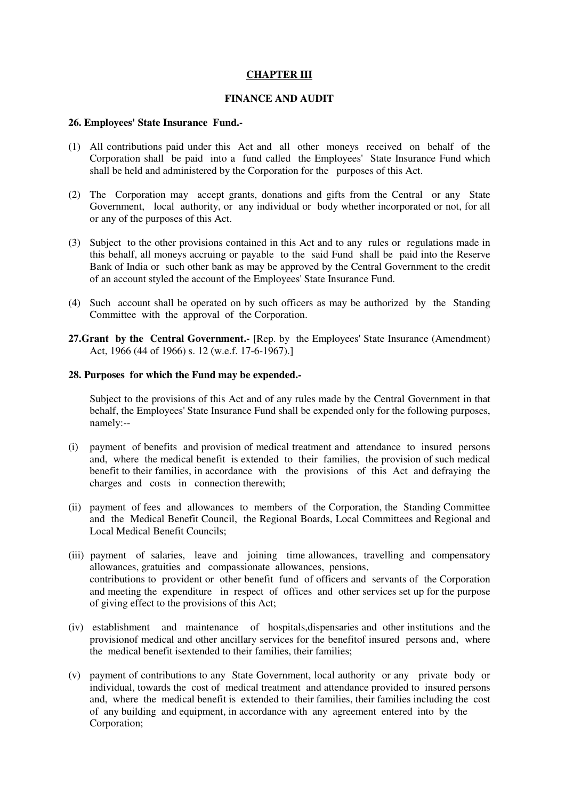# **CHAPTER III**

### **FINANCE AND AUDIT**

#### **26. Employees' State Insurance Fund.-**

- (1) All contributions paid under this Act and all other moneys received on behalf of the Corporation shall be paid into a fund called the Employees' State Insurance Fund which shall be held and administered by the Corporation for the purposes of this Act.
- (2) The Corporation may accept grants, donations and gifts from the Central or any State Government, local authority, or any individual or body whether incorporated or not, for all or any of the purposes of this Act.
- (3) Subject to the other provisions contained in this Act and to any rules or regulations made in this behalf, all moneys accruing or payable to the said Fund shall be paid into the Reserve Bank of India or such other bank as may be approved by the Central Government to the credit of an account styled the account of the Employees' State Insurance Fund.
- (4) Such account shall be operated on by such officers as may be authorized by the Standing Committee with the approval of the Corporation.
- **27.Grant by the Central Government.-** [Rep. by the Employees' State Insurance (Amendment) Act, 1966 (44 of 1966) s. 12 (w.e.f. 17-6-1967).]

#### **28. Purposes for which the Fund may be expended.-**

Subject to the provisions of this Act and of any rules made by the Central Government in that behalf, the Employees' State Insurance Fund shall be expended only for the following purposes, namely:--

- (i) payment of benefits and provision of medical treatment and attendance to insured persons and, where the medical benefit is extended to their families, the provision of such medical benefit to their families, in accordance with the provisions of this Act and defraying the charges and costs in connection therewith;
- (ii) payment of fees and allowances to members of the Corporation, the Standing Committee and the Medical Benefit Council, the Regional Boards, Local Committees and Regional and Local Medical Benefit Councils;
- (iii) payment of salaries, leave and joining time allowances, travelling and compensatory allowances, gratuities and compassionate allowances, pensions, contributions to provident or other benefit fund of officers and servants of the Corporation and meeting the expenditure in respect of offices and other services set up for the purpose of giving effect to the provisions of this Act;
- (iv) establishment and maintenance of hospitals,dispensaries and other institutions and the provisionof medical and other ancillary services for the benefitof insured persons and, where the medical benefit isextended to their families, their families;
- (v) payment of contributions to any State Government, local authority or any private body or individual, towards the cost of medical treatment and attendance provided to insured persons and, where the medical benefit is extended to their families, their families including the cost of any building and equipment, in accordance with any agreement entered into by the Corporation;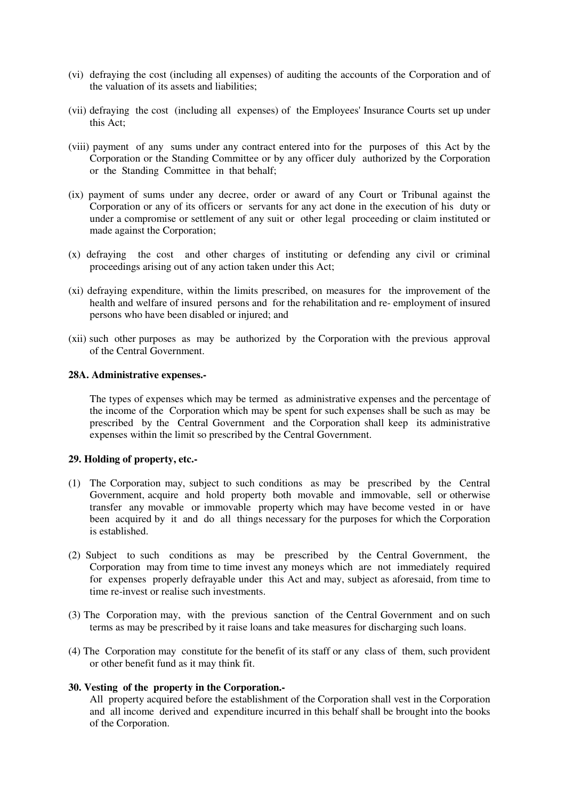- (vi) defraying the cost (including all expenses) of auditing the accounts of the Corporation and of the valuation of its assets and liabilities;
- (vii) defraying the cost (including all expenses) of the Employees' Insurance Courts set up under this Act;
- (viii) payment of any sums under any contract entered into for the purposes of this Act by the Corporation or the Standing Committee or by any officer duly authorized by the Corporation or the Standing Committee in that behalf;
- (ix) payment of sums under any decree, order or award of any Court or Tribunal against the Corporation or any of its officers or servants for any act done in the execution of his duty or under a compromise or settlement of any suit or other legal proceeding or claim instituted or made against the Corporation;
- (x) defraying the cost and other charges of instituting or defending any civil or criminal proceedings arising out of any action taken under this Act;
- (xi) defraying expenditure, within the limits prescribed, on measures for the improvement of the health and welfare of insured persons and for the rehabilitation and re- employment of insured persons who have been disabled or injured; and
- (xii) such other purposes as may be authorized by the Corporation with the previous approval of the Central Government.

#### **28A. Administrative expenses.-**

The types of expenses which may be termed as administrative expenses and the percentage of the income of the Corporation which may be spent for such expenses shall be such as may be prescribed by the Central Government and the Corporation shall keep its administrative expenses within the limit so prescribed by the Central Government.

#### **29. Holding of property, etc.-**

- (1) The Corporation may, subject to such conditions as may be prescribed by the Central Government, acquire and hold property both movable and immovable, sell or otherwise transfer any movable or immovable property which may have become vested in or have been acquired by it and do all things necessary for the purposes for which the Corporation is established.
- (2) Subject to such conditions as may be prescribed by the Central Government, the Corporation may from time to time invest any moneys which are not immediately required for expenses properly defrayable under this Act and may, subject as aforesaid, from time to time re-invest or realise such investments.
- (3) The Corporation may, with the previous sanction of the Central Government and on such terms as may be prescribed by it raise loans and take measures for discharging such loans.
- (4) The Corporation may constitute for the benefit of its staff or any class of them, such provident or other benefit fund as it may think fit.

#### **30. Vesting of the property in the Corporation.-**

All property acquired before the establishment of the Corporation shall vest in the Corporation and all income derived and expenditure incurred in this behalf shall be brought into the books of the Corporation.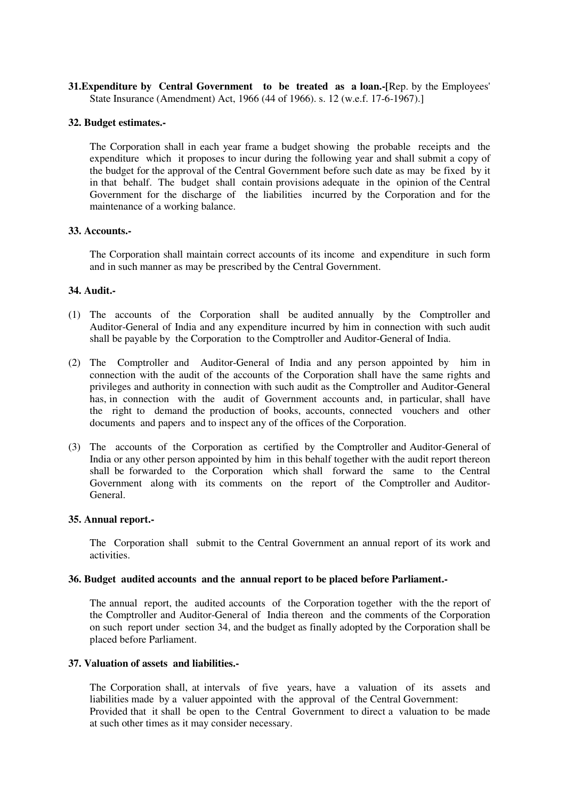**31.Expenditure by Central Government to be treated as a loan.-[**Rep. by the Employees' State Insurance (Amendment) Act, 1966 (44 of 1966). s. 12 (w.e.f. 17-6-1967).]

### **32. Budget estimates.-**

The Corporation shall in each year frame a budget showing the probable receipts and the expenditure which it proposes to incur during the following year and shall submit a copy of the budget for the approval of the Central Government before such date as may be fixed by it in that behalf. The budget shall contain provisions adequate in the opinion of the Central Government for the discharge of the liabilities incurred by the Corporation and for the maintenance of a working balance.

#### **33. Accounts.-**

The Corporation shall maintain correct accounts of its income and expenditure in such form and in such manner as may be prescribed by the Central Government.

### **34. Audit.-**

- (1) The accounts of the Corporation shall be audited annually by the Comptroller and Auditor-General of India and any expenditure incurred by him in connection with such audit shall be payable by the Corporation to the Comptroller and Auditor-General of India.
- (2) The Comptroller and Auditor-General of India and any person appointed by him in connection with the audit of the accounts of the Corporation shall have the same rights and privileges and authority in connection with such audit as the Comptroller and Auditor-General has, in connection with the audit of Government accounts and, in particular, shall have the right to demand the production of books, accounts, connected vouchers and other documents and papers and to inspect any of the offices of the Corporation.
- (3) The accounts of the Corporation as certified by the Comptroller and Auditor-General of India or any other person appointed by him in this behalf together with the audit report thereon shall be forwarded to the Corporation which shall forward the same to the Central Government along with its comments on the report of the Comptroller and Auditor-General.

#### **35. Annual report.-**

The Corporation shall submit to the Central Government an annual report of its work and activities.

#### **36. Budget audited accounts and the annual report to be placed before Parliament.-**

The annual report, the audited accounts of the Corporation together with the the report of the Comptroller and Auditor-General of India thereon and the comments of the Corporation on such report under section 34, and the budget as finally adopted by the Corporation shall be placed before Parliament.

#### **37. Valuation of assets and liabilities.-**

The Corporation shall, at intervals of five years, have a valuation of its assets and liabilities made by a valuer appointed with the approval of the Central Government: Provided that it shall be open to the Central Government to direct a valuation to be made at such other times as it may consider necessary.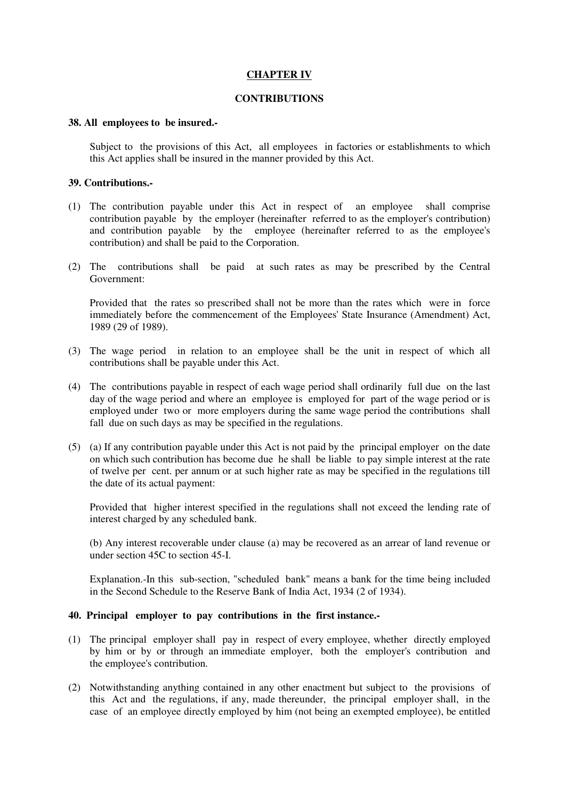### **CHAPTER IV**

### **CONTRIBUTIONS**

#### **38. All employees to be insured.-**

Subject to the provisions of this Act, all employees in factories or establishments to which this Act applies shall be insured in the manner provided by this Act.

### **39. Contributions.-**

- (1) The contribution payable under this Act in respect of an employee shall comprise contribution payable by the employer (hereinafter referred to as the employer's contribution) and contribution payable by the employee (hereinafter referred to as the employee's contribution) and shall be paid to the Corporation.
- (2) The contributions shall be paid at such rates as may be prescribed by the Central Government:

Provided that the rates so prescribed shall not be more than the rates which were in force immediately before the commencement of the Employees' State Insurance (Amendment) Act, 1989 (29 of 1989).

- (3) The wage period in relation to an employee shall be the unit in respect of which all contributions shall be payable under this Act.
- (4) The contributions payable in respect of each wage period shall ordinarily full due on the last day of the wage period and where an employee is employed for part of the wage period or is employed under two or more employers during the same wage period the contributions shall fall due on such days as may be specified in the regulations.
- (5) (a) If any contribution payable under this Act is not paid by the principal employer on the date on which such contribution has become due he shall be liable to pay simple interest at the rate of twelve per cent. per annum or at such higher rate as may be specified in the regulations till the date of its actual payment:

Provided that higher interest specified in the regulations shall not exceed the lending rate of interest charged by any scheduled bank.

(b) Any interest recoverable under clause (a) may be recovered as an arrear of land revenue or under section 45C to section 45-I.

Explanation.-In this sub-section, "scheduled bank" means a bank for the time being included in the Second Schedule to the Reserve Bank of India Act, 1934 (2 of 1934).

### **40. Principal employer to pay contributions in the first instance.-**

- (1) The principal employer shall pay in respect of every employee, whether directly employed by him or by or through an immediate employer, both the employer's contribution and the employee's contribution.
- (2) Notwithstanding anything contained in any other enactment but subject to the provisions of this Act and the regulations, if any, made thereunder, the principal employer shall, in the case of an employee directly employed by him (not being an exempted employee), be entitled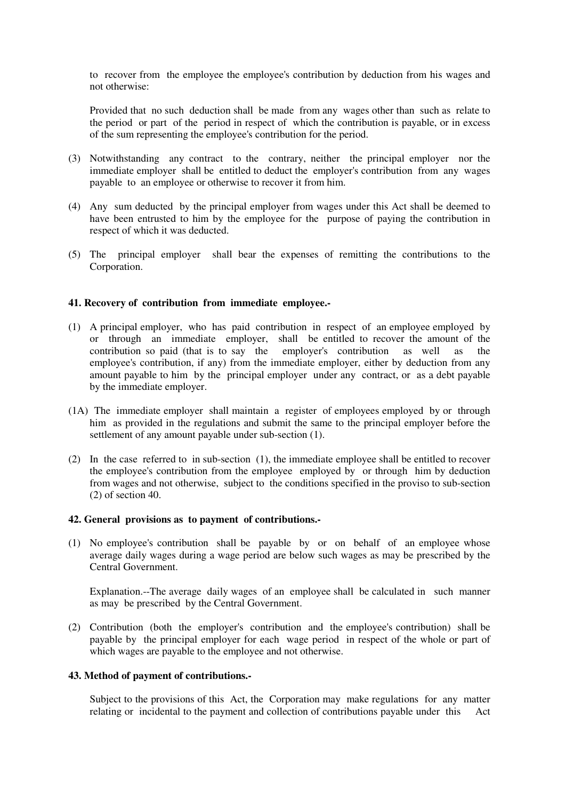to recover from the employee the employee's contribution by deduction from his wages and not otherwise:

Provided that no such deduction shall be made from any wages other than such as relate to the period or part of the period in respect of which the contribution is payable, or in excess of the sum representing the employee's contribution for the period.

- (3) Notwithstanding any contract to the contrary, neither the principal employer nor the immediate employer shall be entitled to deduct the employer's contribution from any wages payable to an employee or otherwise to recover it from him.
- (4) Any sum deducted by the principal employer from wages under this Act shall be deemed to have been entrusted to him by the employee for the purpose of paying the contribution in respect of which it was deducted.
- (5) The principal employer shall bear the expenses of remitting the contributions to the Corporation.

#### **41. Recovery of contribution from immediate employee.-**

- (1) A principal employer, who has paid contribution in respect of an employee employed by or through an immediate employer, shall be entitled to recover the amount of the contribution so paid (that is to say the employer's contribution as well as the employee's contribution, if any) from the immediate employer, either by deduction from any amount payable to him by the principal employer under any contract, or as a debt payable by the immediate employer.
- (1A) The immediate employer shall maintain a register of employees employed by or through him as provided in the regulations and submit the same to the principal employer before the settlement of any amount payable under sub-section (1).
- (2) In the case referred to in sub-section (1), the immediate employee shall be entitled to recover the employee's contribution from the employee employed by or through him by deduction from wages and not otherwise, subject to the conditions specified in the proviso to sub-section (2) of section 40.

#### **42. General provisions as to payment of contributions.-**

(1) No employee's contribution shall be payable by or on behalf of an employee whose average daily wages during a wage period are below such wages as may be prescribed by the Central Government.

Explanation.--The average daily wages of an employee shall be calculated in such manner as may be prescribed by the Central Government.

(2) Contribution (both the employer's contribution and the employee's contribution) shall be payable by the principal employer for each wage period in respect of the whole or part of which wages are payable to the employee and not otherwise.

### **43. Method of payment of contributions.-**

Subject to the provisions of this Act, the Corporation may make regulations for any matter relating or incidental to the payment and collection of contributions payable under this Act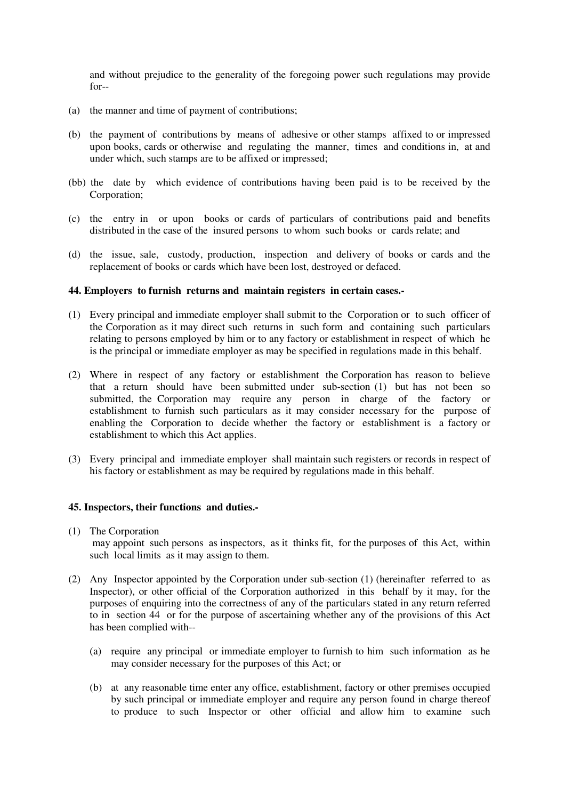and without prejudice to the generality of the foregoing power such regulations may provide for--

- (a) the manner and time of payment of contributions;
- (b) the payment of contributions by means of adhesive or other stamps affixed to or impressed upon books, cards or otherwise and regulating the manner, times and conditions in, at and under which, such stamps are to be affixed or impressed;
- (bb) the date by which evidence of contributions having been paid is to be received by the Corporation;
- (c) the entry in or upon books or cards of particulars of contributions paid and benefits distributed in the case of the insured persons to whom such books or cards relate; and
- (d) the issue, sale, custody, production, inspection and delivery of books or cards and the replacement of books or cards which have been lost, destroyed or defaced.

#### **44. Employers to furnish returns and maintain registers in certain cases.-**

- (1) Every principal and immediate employer shall submit to the Corporation or to such officer of the Corporation as it may direct such returns in such form and containing such particulars relating to persons employed by him or to any factory or establishment in respect of which he is the principal or immediate employer as may be specified in regulations made in this behalf.
- (2) Where in respect of any factory or establishment the Corporation has reason to believe that a return should have been submitted under sub-section (1) but has not been so submitted, the Corporation may require any person in charge of the factory or establishment to furnish such particulars as it may consider necessary for the purpose of enabling the Corporation to decide whether the factory or establishment is a factory or establishment to which this Act applies.
- (3) Every principal and immediate employer shall maintain such registers or records in respect of his factory or establishment as may be required by regulations made in this behalf.

#### **45. Inspectors, their functions and duties.-**

(1) The Corporation

 may appoint such persons as inspectors, as it thinks fit, for the purposes of this Act, within such local limits as it may assign to them.

- (2) Any Inspector appointed by the Corporation under sub-section (1) (hereinafter referred to as Inspector), or other official of the Corporation authorized in this behalf by it may, for the purposes of enquiring into the correctness of any of the particulars stated in any return referred to in section 44 or for the purpose of ascertaining whether any of the provisions of this Act has been complied with--
	- (a) require any principal or immediate employer to furnish to him such information as he may consider necessary for the purposes of this Act; or
	- (b) at any reasonable time enter any office, establishment, factory or other premises occupied by such principal or immediate employer and require any person found in charge thereof to produce to such Inspector or other official and allow him to examine such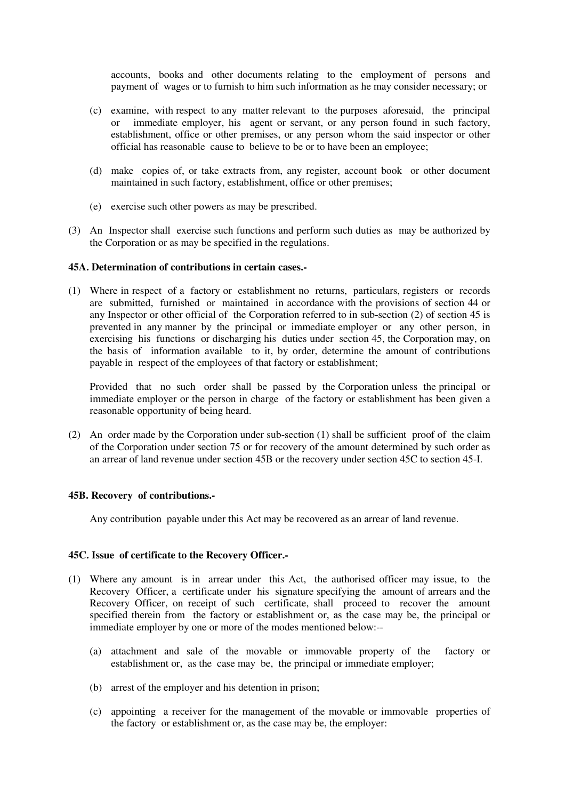accounts, books and other documents relating to the employment of persons and payment of wages or to furnish to him such information as he may consider necessary; or

- (c) examine, with respect to any matter relevant to the purposes aforesaid, the principal or immediate employer, his agent or servant, or any person found in such factory, establishment, office or other premises, or any person whom the said inspector or other official has reasonable cause to believe to be or to have been an employee;
- (d) make copies of, or take extracts from, any register, account book or other document maintained in such factory, establishment, office or other premises;
- (e) exercise such other powers as may be prescribed.
- (3) An Inspector shall exercise such functions and perform such duties as may be authorized by the Corporation or as may be specified in the regulations.

#### **45A. Determination of contributions in certain cases.-**

(1) Where in respect of a factory or establishment no returns, particulars, registers or records are submitted, furnished or maintained in accordance with the provisions of section 44 or any Inspector or other official of the Corporation referred to in sub-section (2) of section 45 is prevented in any manner by the principal or immediate employer or any other person, in exercising his functions or discharging his duties under section 45, the Corporation may, on the basis of information available to it, by order, determine the amount of contributions payable in respect of the employees of that factory or establishment;

Provided that no such order shall be passed by the Corporation unless the principal or immediate employer or the person in charge of the factory or establishment has been given a reasonable opportunity of being heard.

(2) An order made by the Corporation under sub-section (1) shall be sufficient proof of the claim of the Corporation under section 75 or for recovery of the amount determined by such order as an arrear of land revenue under section 45B or the recovery under section 45C to section 45-I.

#### **45B. Recovery of contributions.-**

Any contribution payable under this Act may be recovered as an arrear of land revenue.

#### **45C. Issue of certificate to the Recovery Officer.-**

- (1) Where any amount is in arrear under this Act, the authorised officer may issue, to the Recovery Officer, a certificate under his signature specifying the amount of arrears and the Recovery Officer, on receipt of such certificate, shall proceed to recover the amount specified therein from the factory or establishment or, as the case may be, the principal or immediate employer by one or more of the modes mentioned below:--
	- (a) attachment and sale of the movable or immovable property of the factory or establishment or, as the case may be, the principal or immediate employer;
	- (b) arrest of the employer and his detention in prison;
	- (c) appointing a receiver for the management of the movable or immovable properties of the factory or establishment or, as the case may be, the employer: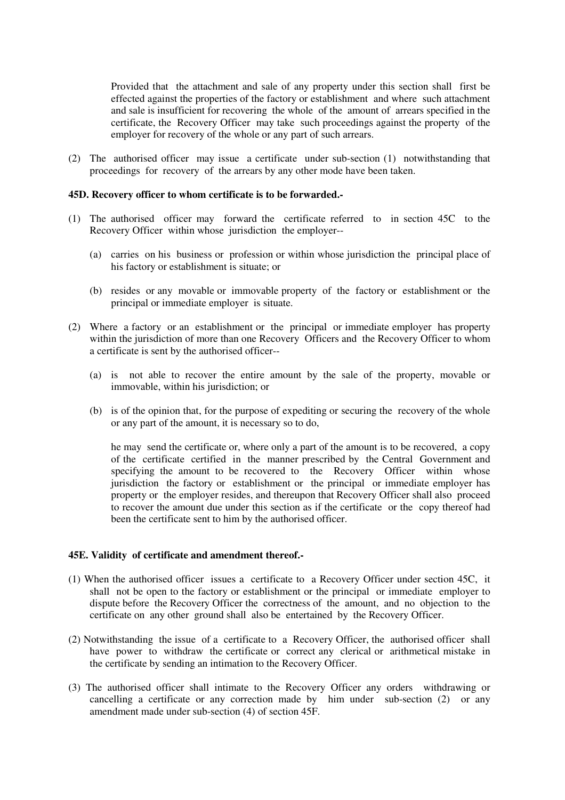Provided that the attachment and sale of any property under this section shall first be effected against the properties of the factory or establishment and where such attachment and sale is insufficient for recovering the whole of the amount of arrears specified in the certificate, the Recovery Officer may take such proceedings against the property of the employer for recovery of the whole or any part of such arrears.

(2) The authorised officer may issue a certificate under sub-section (1) notwithstanding that proceedings for recovery of the arrears by any other mode have been taken.

#### **45D. Recovery officer to whom certificate is to be forwarded.-**

- (1) The authorised officer may forward the certificate referred to in section 45C to the Recovery Officer within whose jurisdiction the employer--
	- (a) carries on his business or profession or within whose jurisdiction the principal place of his factory or establishment is situate; or
	- (b) resides or any movable or immovable property of the factory or establishment or the principal or immediate employer is situate.
- (2) Where a factory or an establishment or the principal or immediate employer has property within the jurisdiction of more than one Recovery Officers and the Recovery Officer to whom a certificate is sent by the authorised officer--
	- (a) is not able to recover the entire amount by the sale of the property, movable or immovable, within his jurisdiction; or
	- (b) is of the opinion that, for the purpose of expediting or securing the recovery of the whole or any part of the amount, it is necessary so to do,

he may send the certificate or, where only a part of the amount is to be recovered, a copy of the certificate certified in the manner prescribed by the Central Government and specifying the amount to be recovered to the Recovery Officer within whose jurisdiction the factory or establishment or the principal or immediate employer has property or the employer resides, and thereupon that Recovery Officer shall also proceed to recover the amount due under this section as if the certificate or the copy thereof had been the certificate sent to him by the authorised officer.

#### **45E. Validity of certificate and amendment thereof.-**

- (1) When the authorised officer issues a certificate to a Recovery Officer under section 45C, it shall not be open to the factory or establishment or the principal or immediate employer to dispute before the Recovery Officer the correctness of the amount, and no objection to the certificate on any other ground shall also be entertained by the Recovery Officer.
- (2) Notwithstanding the issue of a certificate to a Recovery Officer, the authorised officer shall have power to withdraw the certificate or correct any clerical or arithmetical mistake in the certificate by sending an intimation to the Recovery Officer.
- (3) The authorised officer shall intimate to the Recovery Officer any orders withdrawing or cancelling a certificate or any correction made by him under sub-section (2) or any amendment made under sub-section (4) of section 45F.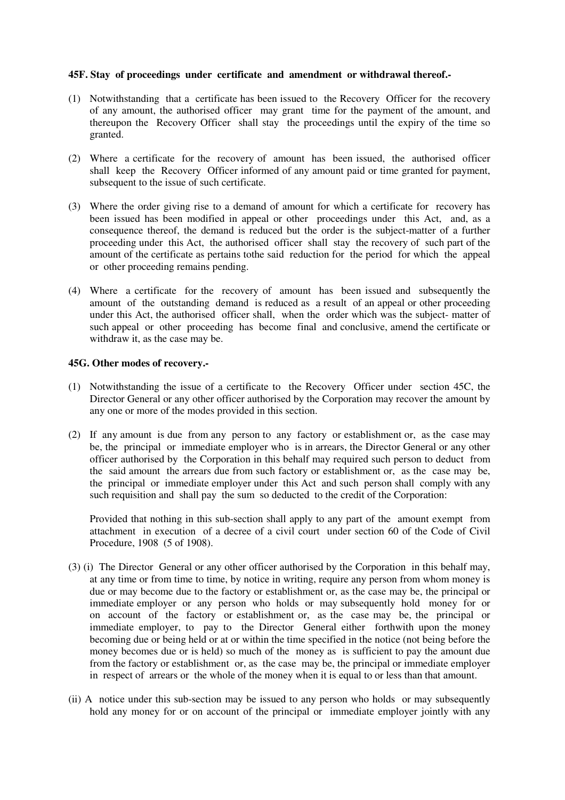#### **45F. Stay of proceedings under certificate and amendment or withdrawal thereof.-**

- (1) Notwithstanding that a certificate has been issued to the Recovery Officer for the recovery of any amount, the authorised officer may grant time for the payment of the amount, and thereupon the Recovery Officer shall stay the proceedings until the expiry of the time so granted.
- (2) Where a certificate for the recovery of amount has been issued, the authorised officer shall keep the Recovery Officer informed of any amount paid or time granted for payment, subsequent to the issue of such certificate.
- (3) Where the order giving rise to a demand of amount for which a certificate for recovery has been issued has been modified in appeal or other proceedings under this Act, and, as a consequence thereof, the demand is reduced but the order is the subject-matter of a further proceeding under this Act, the authorised officer shall stay the recovery of such part of the amount of the certificate as pertains tothe said reduction for the period for which the appeal or other proceeding remains pending.
- (4) Where a certificate for the recovery of amount has been issued and subsequently the amount of the outstanding demand is reduced as a result of an appeal or other proceeding under this Act, the authorised officer shall, when the order which was the subject- matter of such appeal or other proceeding has become final and conclusive, amend the certificate or withdraw it, as the case may be.

### **45G. Other modes of recovery.-**

- (1) Notwithstanding the issue of a certificate to the Recovery Officer under section 45C, the Director General or any other officer authorised by the Corporation may recover the amount by any one or more of the modes provided in this section.
- (2) If any amount is due from any person to any factory or establishment or, as the case may be, the principal or immediate employer who is in arrears, the Director General or any other officer authorised by the Corporation in this behalf may required such person to deduct from the said amount the arrears due from such factory or establishment or, as the case may be, the principal or immediate employer under this Act and such person shall comply with any such requisition and shall pay the sum so deducted to the credit of the Corporation:

Provided that nothing in this sub-section shall apply to any part of the amount exempt from attachment in execution of a decree of a civil court under section 60 of the Code of Civil Procedure, 1908 (5 of 1908).

- (3) (i) The Director General or any other officer authorised by the Corporation in this behalf may, at any time or from time to time, by notice in writing, require any person from whom money is due or may become due to the factory or establishment or, as the case may be, the principal or immediate employer or any person who holds or may subsequently hold money for or on account of the factory or establishment or, as the case may be, the principal or immediate employer, to pay to the Director General either forthwith upon the money becoming due or being held or at or within the time specified in the notice (not being before the money becomes due or is held) so much of the money as is sufficient to pay the amount due from the factory or establishment or, as the case may be, the principal or immediate employer in respect of arrears or the whole of the money when it is equal to or less than that amount.
- (ii) A notice under this sub-section may be issued to any person who holds or may subsequently hold any money for or on account of the principal or immediate employer jointly with any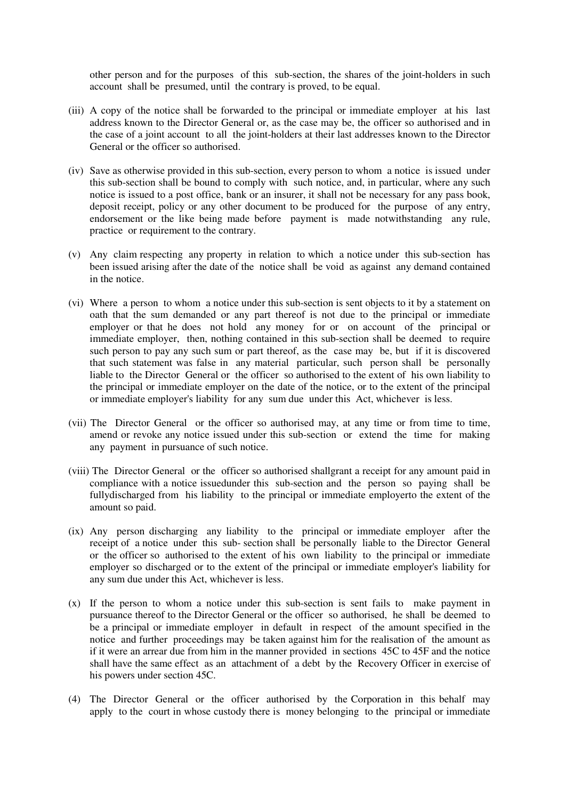other person and for the purposes of this sub-section, the shares of the joint-holders in such account shall be presumed, until the contrary is proved, to be equal.

- (iii) A copy of the notice shall be forwarded to the principal or immediate employer at his last address known to the Director General or, as the case may be, the officer so authorised and in the case of a joint account to all the joint-holders at their last addresses known to the Director General or the officer so authorised.
- (iv) Save as otherwise provided in this sub-section, every person to whom a notice is issued under this sub-section shall be bound to comply with such notice, and, in particular, where any such notice is issued to a post office, bank or an insurer, it shall not be necessary for any pass book, deposit receipt, policy or any other document to be produced for the purpose of any entry, endorsement or the like being made before payment is made notwithstanding any rule, practice or requirement to the contrary.
- (v) Any claim respecting any property in relation to which a notice under this sub-section has been issued arising after the date of the notice shall be void as against any demand contained in the notice.
- (vi) Where a person to whom a notice under this sub-section is sent objects to it by a statement on oath that the sum demanded or any part thereof is not due to the principal or immediate employer or that he does not hold any money for or on account of the principal or immediate employer, then, nothing contained in this sub-section shall be deemed to require such person to pay any such sum or part thereof, as the case may be, but if it is discovered that such statement was false in any material particular, such person shall be personally liable to the Director General or the officer so authorised to the extent of his own liability to the principal or immediate employer on the date of the notice, or to the extent of the principal or immediate employer's liability for any sum due under this Act, whichever is less.
- (vii) The Director General or the officer so authorised may, at any time or from time to time, amend or revoke any notice issued under this sub-section or extend the time for making any payment in pursuance of such notice.
- (viii) The Director General or the officer so authorised shallgrant a receipt for any amount paid in compliance with a notice issuedunder this sub-section and the person so paying shall be fullydischarged from his liability to the principal or immediate employerto the extent of the amount so paid.
- (ix) Any person discharging any liability to the principal or immediate employer after the receipt of a notice under this sub- section shall be personally liable to the Director General or the officer so authorised to the extent of his own liability to the principal or immediate employer so discharged or to the extent of the principal or immediate employer's liability for any sum due under this Act, whichever is less.
- (x) If the person to whom a notice under this sub-section is sent fails to make payment in pursuance thereof to the Director General or the officer so authorised, he shall be deemed to be a principal or immediate employer in default in respect of the amount specified in the notice and further proceedings may be taken against him for the realisation of the amount as if it were an arrear due from him in the manner provided in sections 45C to 45F and the notice shall have the same effect as an attachment of a debt by the Recovery Officer in exercise of his powers under section 45C.
- (4) The Director General or the officer authorised by the Corporation in this behalf may apply to the court in whose custody there is money belonging to the principal or immediate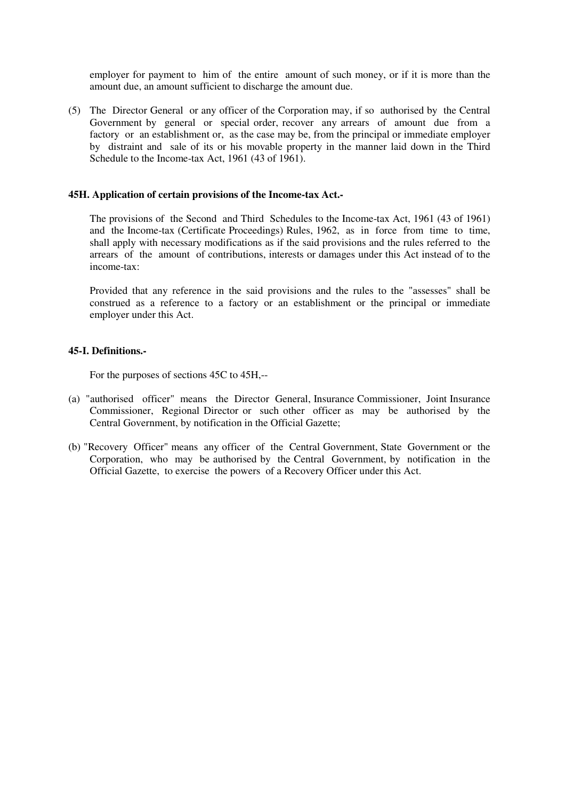employer for payment to him of the entire amount of such money, or if it is more than the amount due, an amount sufficient to discharge the amount due.

(5) The Director General or any officer of the Corporation may, if so authorised by the Central Government by general or special order, recover any arrears of amount due from a factory or an establishment or, as the case may be, from the principal or immediate employer by distraint and sale of its or his movable property in the manner laid down in the Third Schedule to the Income-tax Act, 1961 (43 of 1961).

#### **45H. Application of certain provisions of the Income-tax Act.-**

The provisions of the Second and Third Schedules to the Income-tax Act, 1961 (43 of 1961) and the Income-tax (Certificate Proceedings) Rules, 1962, as in force from time to time, shall apply with necessary modifications as if the said provisions and the rules referred to the arrears of the amount of contributions, interests or damages under this Act instead of to the income-tax:

Provided that any reference in the said provisions and the rules to the "assesses" shall be construed as a reference to a factory or an establishment or the principal or immediate employer under this Act.

### **45-I. Definitions.-**

For the purposes of sections 45C to 45H,--

- (a) "authorised officer" means the Director General, Insurance Commissioner, Joint Insurance Commissioner, Regional Director or such other officer as may be authorised by the Central Government, by notification in the Official Gazette;
- (b) "Recovery Officer" means any officer of the Central Government, State Government or the Corporation, who may be authorised by the Central Government, by notification in the Official Gazette, to exercise the powers of a Recovery Officer under this Act.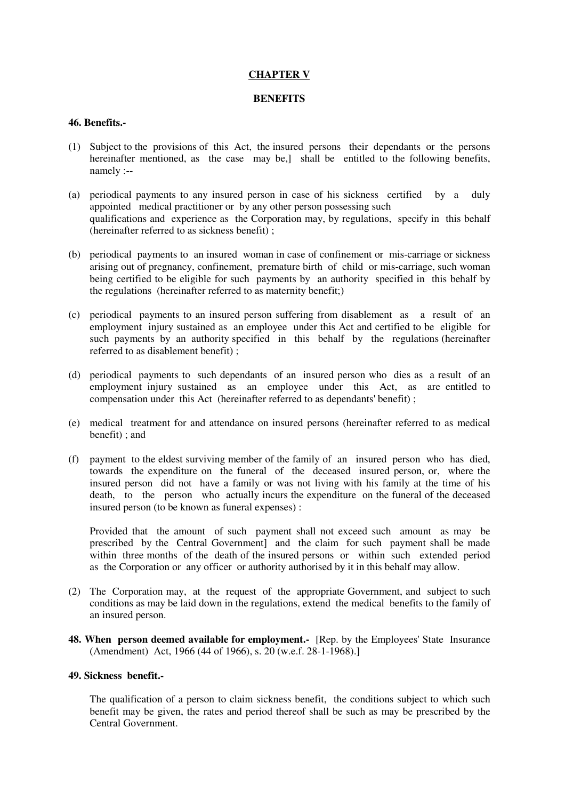### **CHAPTER V**

### **BENEFITS**

### **46. Benefits.-**

- (1) Subject to the provisions of this Act, the insured persons their dependants or the persons hereinafter mentioned, as the case may be,] shall be entitled to the following benefits, namely :--
- (a) periodical payments to any insured person in case of his sickness certified by a duly appointed medical practitioner or by any other person possessing such qualifications and experience as the Corporation may, by regulations, specify in this behalf (hereinafter referred to as sickness benefit) ;
- (b) periodical payments to an insured woman in case of confinement or mis-carriage or sickness arising out of pregnancy, confinement, premature birth of child or mis-carriage, such woman being certified to be eligible for such payments by an authority specified in this behalf by the regulations (hereinafter referred to as maternity benefit;)
- (c) periodical payments to an insured person suffering from disablement as a result of an employment injury sustained as an employee under this Act and certified to be eligible for such payments by an authority specified in this behalf by the regulations (hereinafter referred to as disablement benefit) ;
- (d) periodical payments to such dependants of an insured person who dies as a result of an employment injury sustained as an employee under this Act, as are entitled to compensation under this Act (hereinafter referred to as dependants' benefit) ;
- (e) medical treatment for and attendance on insured persons (hereinafter referred to as medical benefit) ; and
- (f) payment to the eldest surviving member of the family of an insured person who has died, towards the expenditure on the funeral of the deceased insured person, or, where the insured person did not have a family or was not living with his family at the time of his death, to the person who actually incurs the expenditure on the funeral of the deceased insured person (to be known as funeral expenses) :

Provided that the amount of such payment shall not exceed such amount as may be prescribed by the Central Government] and the claim for such payment shall be made within three months of the death of the insured persons or within such extended period as the Corporation or any officer or authority authorised by it in this behalf may allow.

- (2) The Corporation may, at the request of the appropriate Government, and subject to such conditions as may be laid down in the regulations, extend the medical benefits to the family of an insured person.
- **48. When person deemed available for employment.** [Rep. by the Employees' State Insurance (Amendment) Act, 1966 (44 of 1966), s. 20 (w.e.f. 28-1-1968).]

#### **49. Sickness benefit.-**

The qualification of a person to claim sickness benefit, the conditions subject to which such benefit may be given, the rates and period thereof shall be such as may be prescribed by the Central Government.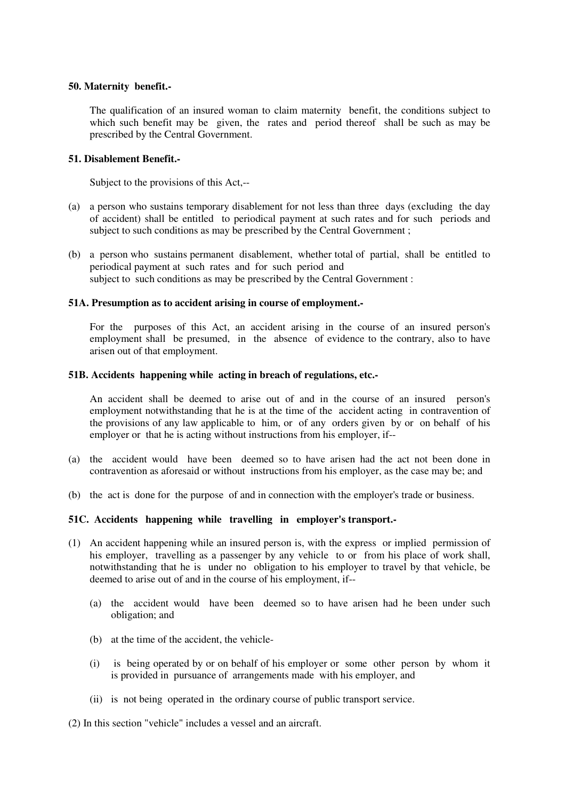### **50. Maternity benefit.-**

The qualification of an insured woman to claim maternity benefit, the conditions subject to which such benefit may be given, the rates and period thereof shall be such as may be prescribed by the Central Government.

### **51. Disablement Benefit.-**

Subject to the provisions of this Act,--

- (a) a person who sustains temporary disablement for not less than three days (excluding the day of accident) shall be entitled to periodical payment at such rates and for such periods and subject to such conditions as may be prescribed by the Central Government ;
- (b) a person who sustains permanent disablement, whether total of partial, shall be entitled to periodical payment at such rates and for such period and subject to such conditions as may be prescribed by the Central Government :

#### **51A. Presumption as to accident arising in course of employment.-**

For the purposes of this Act, an accident arising in the course of an insured person's employment shall be presumed, in the absence of evidence to the contrary, also to have arisen out of that employment.

#### **51B. Accidents happening while acting in breach of regulations, etc.-**

An accident shall be deemed to arise out of and in the course of an insured person's employment notwithstanding that he is at the time of the accident acting in contravention of the provisions of any law applicable to him, or of any orders given by or on behalf of his employer or that he is acting without instructions from his employer, if--

- (a) the accident would have been deemed so to have arisen had the act not been done in contravention as aforesaid or without instructions from his employer, as the case may be; and
- (b) the act is done for the purpose of and in connection with the employer's trade or business.

### **51C. Accidents happening while travelling in employer's transport.-**

- (1) An accident happening while an insured person is, with the express or implied permission of his employer, travelling as a passenger by any vehicle to or from his place of work shall, notwithstanding that he is under no obligation to his employer to travel by that vehicle, be deemed to arise out of and in the course of his employment, if--
	- (a) the accident would have been deemed so to have arisen had he been under such obligation; and
	- (b) at the time of the accident, the vehicle-
	- (i) is being operated by or on behalf of his employer or some other person by whom it is provided in pursuance of arrangements made with his employer, and
	- (ii) is not being operated in the ordinary course of public transport service.

(2) In this section "vehicle" includes a vessel and an aircraft.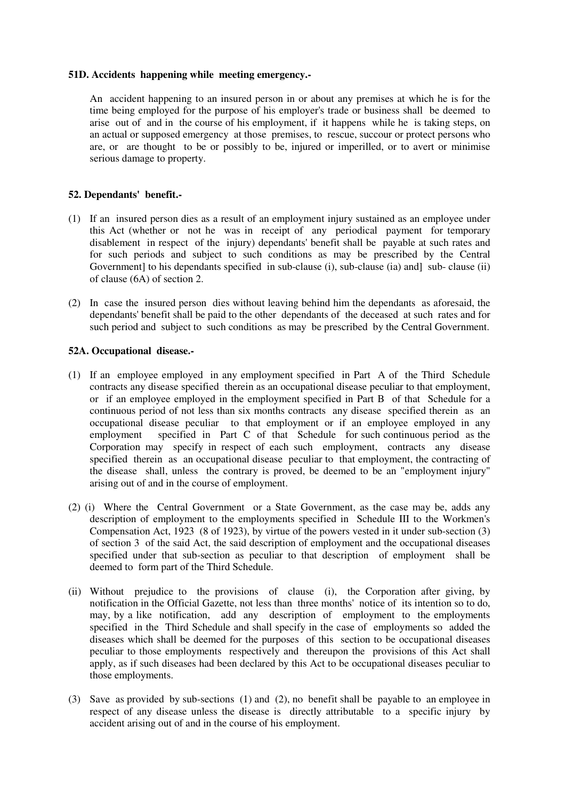#### **51D. Accidents happening while meeting emergency.-**

An accident happening to an insured person in or about any premises at which he is for the time being employed for the purpose of his employer's trade or business shall be deemed to arise out of and in the course of his employment, if it happens while he is taking steps, on an actual or supposed emergency at those premises, to rescue, succour or protect persons who are, or are thought to be or possibly to be, injured or imperilled, or to avert or minimise serious damage to property.

### **52. Dependants' benefit.-**

- (1) If an insured person dies as a result of an employment injury sustained as an employee under this Act (whether or not he was in receipt of any periodical payment for temporary disablement in respect of the injury) dependants' benefit shall be payable at such rates and for such periods and subject to such conditions as may be prescribed by the Central Government] to his dependants specified in sub-clause (i), sub-clause (ia) and  $\vert$  sub-clause (ii) of clause (6A) of section 2.
- (2) In case the insured person dies without leaving behind him the dependants as aforesaid, the dependants' benefit shall be paid to the other dependants of the deceased at such rates and for such period and subject to such conditions as may be prescribed by the Central Government.

# **52A. Occupational disease.-**

- (1) If an employee employed in any employment specified in Part A of the Third Schedule contracts any disease specified therein as an occupational disease peculiar to that employment, or if an employee employed in the employment specified in Part B of that Schedule for a continuous period of not less than six months contracts any disease specified therein as an occupational disease peculiar to that employment or if an employee employed in any employment specified in Part C of that Schedule for such continuous period as the Corporation may specify in respect of each such employment, contracts any disease specified therein as an occupational disease peculiar to that employment, the contracting of the disease shall, unless the contrary is proved, be deemed to be an "employment injury" arising out of and in the course of employment.
- (2) (i) Where the Central Government or a State Government, as the case may be, adds any description of employment to the employments specified in Schedule III to the Workmen's Compensation Act, 1923 (8 of 1923), by virtue of the powers vested in it under sub-section (3) of section 3 of the said Act, the said description of employment and the occupational diseases specified under that sub-section as peculiar to that description of employment shall be deemed to form part of the Third Schedule.
- (ii) Without prejudice to the provisions of clause (i), the Corporation after giving, by notification in the Official Gazette, not less than three months' notice of its intention so to do, may, by a like notification, add any description of employment to the employments specified in the Third Schedule and shall specify in the case of employments so added the diseases which shall be deemed for the purposes of this section to be occupational diseases peculiar to those employments respectively and thereupon the provisions of this Act shall apply, as if such diseases had been declared by this Act to be occupational diseases peculiar to those employments.
- (3) Save as provided by sub-sections (1) and (2), no benefit shall be payable to an employee in respect of any disease unless the disease is directly attributable to a specific injury by accident arising out of and in the course of his employment.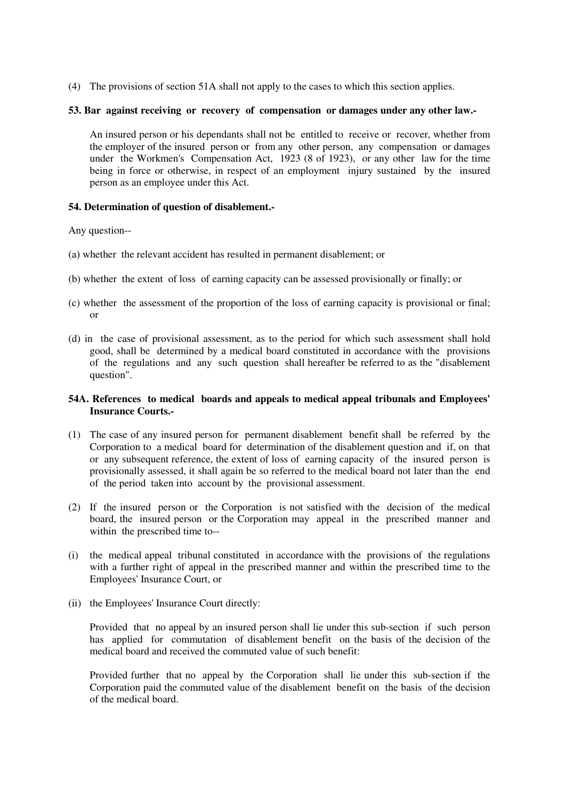(4) The provisions of section 51A shall not apply to the cases to which this section applies.

#### **53. Bar against receiving or recovery of compensation or damages under any other law.-**

An insured person or his dependants shall not be entitled to receive or recover, whether from the employer of the insured person or from any other person, any compensation or damages under the Workmen's Compensation Act, 1923 (8 of 1923), or any other law for the time being in force or otherwise, in respect of an employment injury sustained by the insured person as an employee under this Act.

#### **54. Determination of question of disablement.-**

Any question--

- (a) whether the relevant accident has resulted in permanent disablement; or
- (b) whether the extent of loss of earning capacity can be assessed provisionally or finally; or
- (c) whether the assessment of the proportion of the loss of earning capacity is provisional or final; or
- (d) in the case of provisional assessment, as to the period for which such assessment shall hold good, shall be determined by a medical board constituted in accordance with the provisions of the regulations and any such question shall hereafter be referred to as the "disablement question".

### **54A. References to medical boards and appeals to medical appeal tribunals and Employees' Insurance Courts.-**

- (1) The case of any insured person for permanent disablement benefit shall be referred by the Corporation to a medical board for determination of the disablement question and if, on that or any subsequent reference, the extent of loss of earning capacity of the insured person is provisionally assessed, it shall again be so referred to the medical board not later than the end of the period taken into account by the provisional assessment.
- (2) If the insured person or the Corporation is not satisfied with the decision of the medical board, the insured person or the Corporation may appeal in the prescribed manner and within the prescribed time to--
- (i) the medical appeal tribunal constituted in accordance with the provisions of the regulations with a further right of appeal in the prescribed manner and within the prescribed time to the Employees' Insurance Court, or
- (ii) the Employees' Insurance Court directly:

Provided that no appeal by an insured person shall lie under this sub-section if such person has applied for commutation of disablement benefit on the basis of the decision of the medical board and received the commuted value of such benefit:

Provided further that no appeal by the Corporation shall lie under this sub-section if the Corporation paid the commuted value of the disablement benefit on the basis of the decision of the medical board.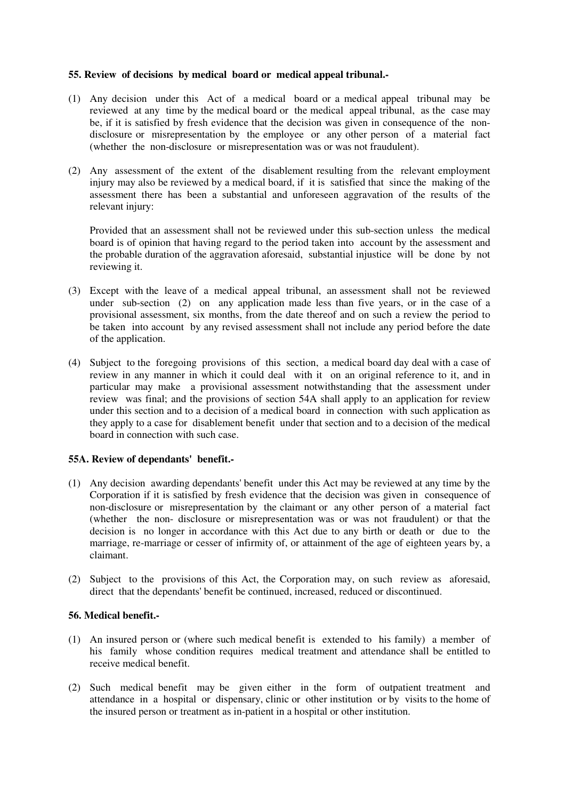### **55. Review of decisions by medical board or medical appeal tribunal.-**

- (1) Any decision under this Act of a medical board or a medical appeal tribunal may be reviewed at any time by the medical board or the medical appeal tribunal, as the case may be, if it is satisfied by fresh evidence that the decision was given in consequence of the nondisclosure or misrepresentation by the employee or any other person of a material fact (whether the non-disclosure or misrepresentation was or was not fraudulent).
- (2) Any assessment of the extent of the disablement resulting from the relevant employment injury may also be reviewed by a medical board, if it is satisfied that since the making of the assessment there has been a substantial and unforeseen aggravation of the results of the relevant injury:

Provided that an assessment shall not be reviewed under this sub-section unless the medical board is of opinion that having regard to the period taken into account by the assessment and the probable duration of the aggravation aforesaid, substantial injustice will be done by not reviewing it.

- (3) Except with the leave of a medical appeal tribunal, an assessment shall not be reviewed under sub-section (2) on any application made less than five years, or in the case of a provisional assessment, six months, from the date thereof and on such a review the period to be taken into account by any revised assessment shall not include any period before the date of the application.
- (4) Subject to the foregoing provisions of this section, a medical board day deal with a case of review in any manner in which it could deal with it on an original reference to it, and in particular may make a provisional assessment notwithstanding that the assessment under review was final; and the provisions of section 54A shall apply to an application for review under this section and to a decision of a medical board in connection with such application as they apply to a case for disablement benefit under that section and to a decision of the medical board in connection with such case.

### **55A. Review of dependants' benefit.-**

- (1) Any decision awarding dependants' benefit under this Act may be reviewed at any time by the Corporation if it is satisfied by fresh evidence that the decision was given in consequence of non-disclosure or misrepresentation by the claimant or any other person of a material fact (whether the non- disclosure or misrepresentation was or was not fraudulent) or that the decision is no longer in accordance with this Act due to any birth or death or due to the marriage, re-marriage or cesser of infirmity of, or attainment of the age of eighteen years by, a claimant.
- (2) Subject to the provisions of this Act, the Corporation may, on such review as aforesaid, direct that the dependants' benefit be continued, increased, reduced or discontinued.

### **56. Medical benefit.-**

- (1) An insured person or (where such medical benefit is extended to his family) a member of his family whose condition requires medical treatment and attendance shall be entitled to receive medical benefit.
- (2) Such medical benefit may be given either in the form of outpatient treatment and attendance in a hospital or dispensary, clinic or other institution or by visits to the home of the insured person or treatment as in-patient in a hospital or other institution.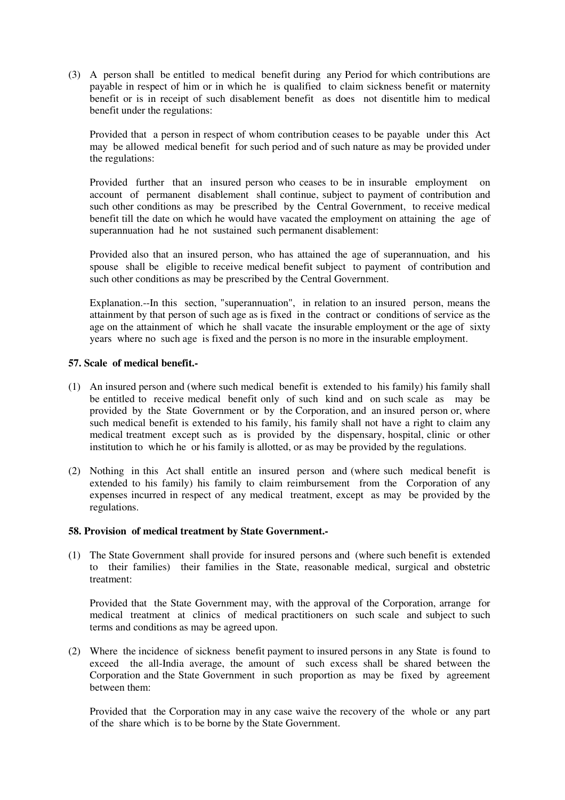(3) A person shall be entitled to medical benefit during any Period for which contributions are payable in respect of him or in which he is qualified to claim sickness benefit or maternity benefit or is in receipt of such disablement benefit as does not disentitle him to medical benefit under the regulations:

Provided that a person in respect of whom contribution ceases to be payable under this Act may be allowed medical benefit for such period and of such nature as may be provided under the regulations:

Provided further that an insured person who ceases to be in insurable employment on account of permanent disablement shall continue, subject to payment of contribution and such other conditions as may be prescribed by the Central Government, to receive medical benefit till the date on which he would have vacated the employment on attaining the age of superannuation had he not sustained such permanent disablement:

Provided also that an insured person, who has attained the age of superannuation, and his spouse shall be eligible to receive medical benefit subject to payment of contribution and such other conditions as may be prescribed by the Central Government.

Explanation.--In this section, "superannuation", in relation to an insured person, means the attainment by that person of such age as is fixed in the contract or conditions of service as the age on the attainment of which he shall vacate the insurable employment or the age of sixty years where no such age is fixed and the person is no more in the insurable employment.

### **57. Scale of medical benefit.-**

- (1) An insured person and (where such medical benefit is extended to his family) his family shall be entitled to receive medical benefit only of such kind and on such scale as may be provided by the State Government or by the Corporation, and an insured person or, where such medical benefit is extended to his family, his family shall not have a right to claim any medical treatment except such as is provided by the dispensary, hospital, clinic or other institution to which he or his family is allotted, or as may be provided by the regulations.
- (2) Nothing in this Act shall entitle an insured person and (where such medical benefit is extended to his family) his family to claim reimbursement from the Corporation of any expenses incurred in respect of any medical treatment, except as may be provided by the regulations.

### **58. Provision of medical treatment by State Government.-**

(1) The State Government shall provide for insured persons and (where such benefit is extended to their families) their families in the State, reasonable medical, surgical and obstetric treatment:

Provided that the State Government may, with the approval of the Corporation, arrange for medical treatment at clinics of medical practitioners on such scale and subject to such terms and conditions as may be agreed upon.

(2) Where the incidence of sickness benefit payment to insured persons in any State is found to exceed the all-India average, the amount of such excess shall be shared between the Corporation and the State Government in such proportion as may be fixed by agreement between them:

Provided that the Corporation may in any case waive the recovery of the whole or any part of the share which is to be borne by the State Government.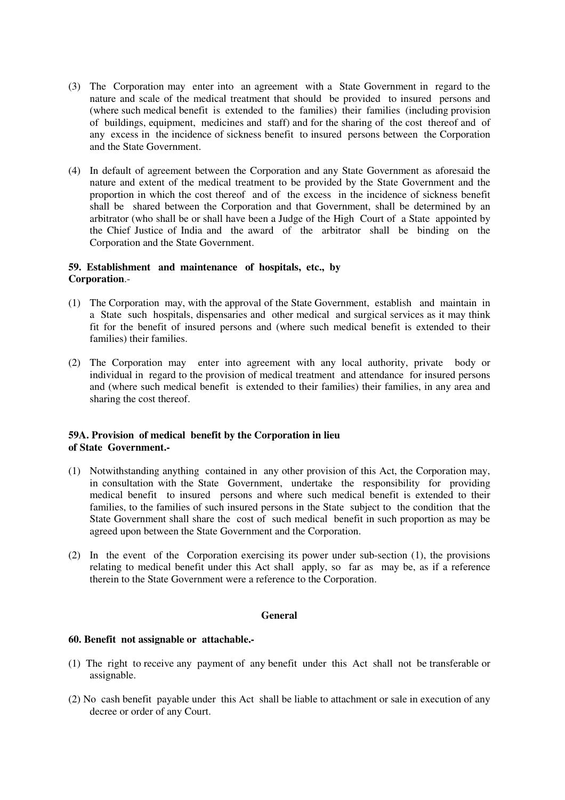- (3) The Corporation may enter into an agreement with a State Government in regard to the nature and scale of the medical treatment that should be provided to insured persons and (where such medical benefit is extended to the families) their families (including provision of buildings, equipment, medicines and staff) and for the sharing of the cost thereof and of any excess in the incidence of sickness benefit to insured persons between the Corporation and the State Government.
- (4) In default of agreement between the Corporation and any State Government as aforesaid the nature and extent of the medical treatment to be provided by the State Government and the proportion in which the cost thereof and of the excess in the incidence of sickness benefit shall be shared between the Corporation and that Government, shall be determined by an arbitrator (who shall be or shall have been a Judge of the High Court of a State appointed by the Chief Justice of India and the award of the arbitrator shall be binding on the Corporation and the State Government.

#### **59. Establishment and maintenance of hospitals, etc., by Corporation**.-

- (1) The Corporation may, with the approval of the State Government, establish and maintain in a State such hospitals, dispensaries and other medical and surgical services as it may think fit for the benefit of insured persons and (where such medical benefit is extended to their families) their families.
- (2) The Corporation may enter into agreement with any local authority, private body or individual in regard to the provision of medical treatment and attendance for insured persons and (where such medical benefit is extended to their families) their families, in any area and sharing the cost thereof.

### **59A. Provision of medical benefit by the Corporation in lieu of State Government.-**

- (1) Notwithstanding anything contained in any other provision of this Act, the Corporation may, in consultation with the State Government, undertake the responsibility for providing medical benefit to insured persons and where such medical benefit is extended to their families, to the families of such insured persons in the State subject to the condition that the State Government shall share the cost of such medical benefit in such proportion as may be agreed upon between the State Government and the Corporation.
- (2) In the event of the Corporation exercising its power under sub-section (1), the provisions relating to medical benefit under this Act shall apply, so far as may be, as if a reference therein to the State Government were a reference to the Corporation.

### **General**

### **60. Benefit not assignable or attachable.-**

- (1) The right to receive any payment of any benefit under this Act shall not be transferable or assignable.
- (2) No cash benefit payable under this Act shall be liable to attachment or sale in execution of any decree or order of any Court.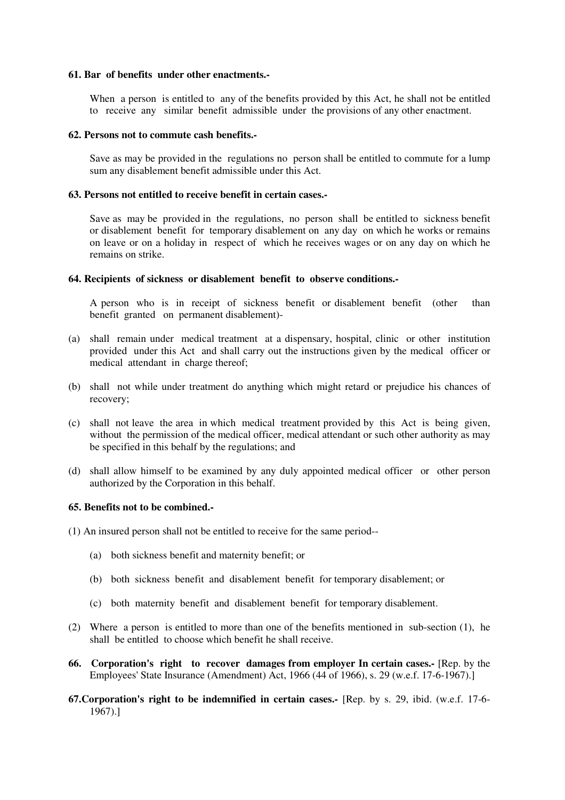#### **61. Bar of benefits under other enactments.-**

When a person is entitled to any of the benefits provided by this Act, he shall not be entitled to receive any similar benefit admissible under the provisions of any other enactment.

#### **62. Persons not to commute cash benefits.-**

Save as may be provided in the regulations no person shall be entitled to commute for a lump sum any disablement benefit admissible under this Act.

#### **63. Persons not entitled to receive benefit in certain cases.-**

Save as may be provided in the regulations, no person shall be entitled to sickness benefit or disablement benefit for temporary disablement on any day on which he works or remains on leave or on a holiday in respect of which he receives wages or on any day on which he remains on strike.

### **64. Recipients of sickness or disablement benefit to observe conditions.-**

A person who is in receipt of sickness benefit or disablement benefit (other than benefit granted on permanent disablement)-

- (a) shall remain under medical treatment at a dispensary, hospital, clinic or other institution provided under this Act and shall carry out the instructions given by the medical officer or medical attendant in charge thereof;
- (b) shall not while under treatment do anything which might retard or prejudice his chances of recovery;
- (c) shall not leave the area in which medical treatment provided by this Act is being given, without the permission of the medical officer, medical attendant or such other authority as may be specified in this behalf by the regulations; and
- (d) shall allow himself to be examined by any duly appointed medical officer or other person authorized by the Corporation in this behalf.

#### **65. Benefits not to be combined.-**

- (1) An insured person shall not be entitled to receive for the same period--
	- (a) both sickness benefit and maternity benefit; or
	- (b) both sickness benefit and disablement benefit for temporary disablement; or
	- (c) both maternity benefit and disablement benefit for temporary disablement.
- (2) Where a person is entitled to more than one of the benefits mentioned in sub-section (1), he shall be entitled to choose which benefit he shall receive.
- **66. Corporation's right to recover damages from employer In certain cases.-** [Rep. by the Employees' State Insurance (Amendment) Act, 1966 (44 of 1966), s. 29 (w.e.f. 17-6-1967).]
- **67.Corporation's right to be indemnified in certain cases.-** [Rep. by s. 29, ibid. (w.e.f. 17-6- 1967).]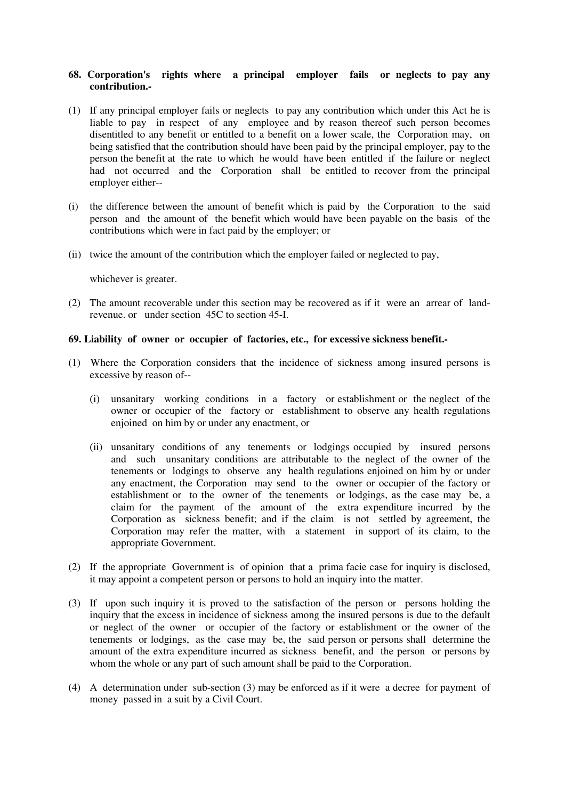### **68. Corporation's rights where a principal employer fails or neglects to pay any contribution.-**

- (1) If any principal employer fails or neglects to pay any contribution which under this Act he is liable to pay in respect of any employee and by reason thereof such person becomes disentitled to any benefit or entitled to a benefit on a lower scale, the Corporation may, on being satisfied that the contribution should have been paid by the principal employer, pay to the person the benefit at the rate to which he would have been entitled if the failure or neglect had not occurred and the Corporation shall be entitled to recover from the principal employer either--
- (i) the difference between the amount of benefit which is paid by the Corporation to the said person and the amount of the benefit which would have been payable on the basis of the contributions which were in fact paid by the employer; or
- (ii) twice the amount of the contribution which the employer failed or neglected to pay,

whichever is greater.

(2) The amount recoverable under this section may be recovered as if it were an arrear of landrevenue. or under section 45C to section 45-I.

#### **69. Liability of owner or occupier of factories, etc., for excessive sickness benefit.-**

- (1) Where the Corporation considers that the incidence of sickness among insured persons is excessive by reason of--
	- (i) unsanitary working conditions in a factory or establishment or the neglect of the owner or occupier of the factory or establishment to observe any health regulations enjoined on him by or under any enactment, or
	- (ii) unsanitary conditions of any tenements or lodgings occupied by insured persons and such unsanitary conditions are attributable to the neglect of the owner of the tenements or lodgings to observe any health regulations enjoined on him by or under any enactment, the Corporation may send to the owner or occupier of the factory or establishment or to the owner of the tenements or lodgings, as the case may be, a claim for the payment of the amount of the extra expenditure incurred by the Corporation as sickness benefit; and if the claim is not settled by agreement, the Corporation may refer the matter, with a statement in support of its claim, to the appropriate Government.
- (2) If the appropriate Government is of opinion that a prima facie case for inquiry is disclosed, it may appoint a competent person or persons to hold an inquiry into the matter.
- (3) If upon such inquiry it is proved to the satisfaction of the person or persons holding the inquiry that the excess in incidence of sickness among the insured persons is due to the default or neglect of the owner or occupier of the factory or establishment or the owner of the tenements or lodgings, as the case may be, the said person or persons shall determine the amount of the extra expenditure incurred as sickness benefit, and the person or persons by whom the whole or any part of such amount shall be paid to the Corporation.
- (4) A determination under sub-section (3) may be enforced as if it were a decree for payment of money passed in a suit by a Civil Court.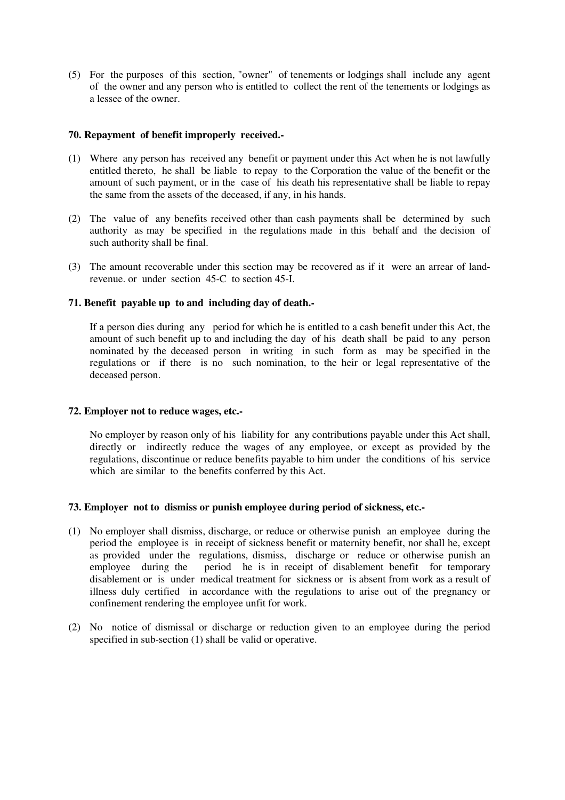(5) For the purposes of this section, "owner" of tenements or lodgings shall include any agent of the owner and any person who is entitled to collect the rent of the tenements or lodgings as a lessee of the owner.

### **70. Repayment of benefit improperly received.-**

- (1) Where any person has received any benefit or payment under this Act when he is not lawfully entitled thereto, he shall be liable to repay to the Corporation the value of the benefit or the amount of such payment, or in the case of his death his representative shall be liable to repay the same from the assets of the deceased, if any, in his hands.
- (2) The value of any benefits received other than cash payments shall be determined by such authority as may be specified in the regulations made in this behalf and the decision of such authority shall be final.
- (3) The amount recoverable under this section may be recovered as if it were an arrear of landrevenue. or under section 45-C to section 45-I.

#### **71. Benefit payable up to and including day of death.-**

If a person dies during any period for which he is entitled to a cash benefit under this Act, the amount of such benefit up to and including the day of his death shall be paid to any person nominated by the deceased person in writing in such form as may be specified in the regulations or if there is no such nomination, to the heir or legal representative of the deceased person.

### **72. Employer not to reduce wages, etc.-**

No employer by reason only of his liability for any contributions payable under this Act shall, directly or indirectly reduce the wages of any employee, or except as provided by the regulations, discontinue or reduce benefits payable to him under the conditions of his service which are similar to the benefits conferred by this Act.

#### **73. Employer not to dismiss or punish employee during period of sickness, etc.-**

- (1) No employer shall dismiss, discharge, or reduce or otherwise punish an employee during the period the employee is in receipt of sickness benefit or maternity benefit, nor shall he, except as provided under the regulations, dismiss, discharge or reduce or otherwise punish an employee during the period he is in receipt of disablement benefit for temporary period he is in receipt of disablement benefit for temporary disablement or is under medical treatment for sickness or is absent from work as a result of illness duly certified in accordance with the regulations to arise out of the pregnancy or confinement rendering the employee unfit for work.
- (2) No notice of dismissal or discharge or reduction given to an employee during the period specified in sub-section (1) shall be valid or operative.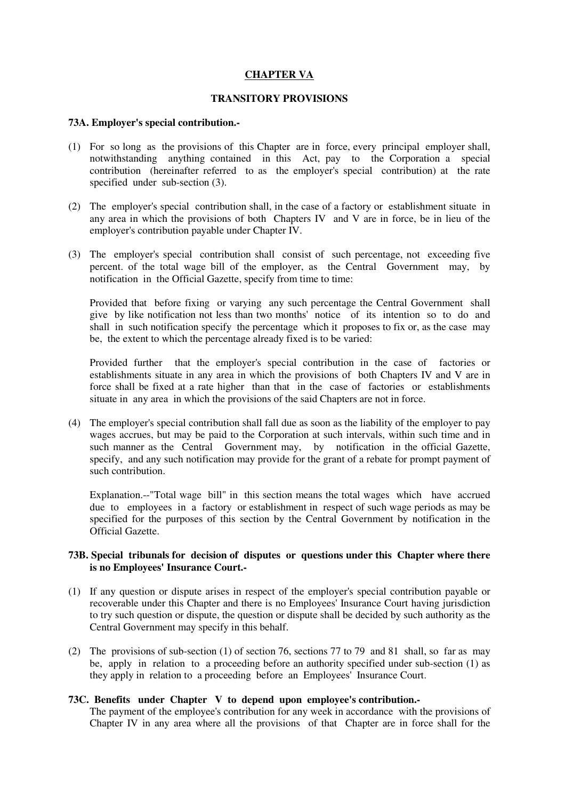### **CHAPTER VA**

### **TRANSITORY PROVISIONS**

#### **73A. Employer's special contribution.-**

- (1) For so long as the provisions of this Chapter are in force, every principal employer shall, notwithstanding anything contained in this Act, pay to the Corporation a special contribution (hereinafter referred to as the employer's special contribution) at the rate specified under sub-section (3).
- (2) The employer's special contribution shall, in the case of a factory or establishment situate in any area in which the provisions of both Chapters IV and V are in force, be in lieu of the employer's contribution payable under Chapter IV.
- (3) The employer's special contribution shall consist of such percentage, not exceeding five percent. of the total wage bill of the employer, as the Central Government may, by notification in the Official Gazette, specify from time to time:

Provided that before fixing or varying any such percentage the Central Government shall give by like notification not less than two months' notice of its intention so to do and shall in such notification specify the percentage which it proposes to fix or, as the case may be, the extent to which the percentage already fixed is to be varied:

Provided further that the employer's special contribution in the case of factories or establishments situate in any area in which the provisions of both Chapters IV and V are in force shall be fixed at a rate higher than that in the case of factories or establishments situate in any area in which the provisions of the said Chapters are not in force.

(4) The employer's special contribution shall fall due as soon as the liability of the employer to pay wages accrues, but may be paid to the Corporation at such intervals, within such time and in such manner as the Central Government may, by notification in the official Gazette, specify, and any such notification may provide for the grant of a rebate for prompt payment of such contribution.

Explanation.--"Total wage bill" in this section means the total wages which have accrued due to employees in a factory or establishment in respect of such wage periods as may be specified for the purposes of this section by the Central Government by notification in the Official Gazette.

### **73B. Special tribunals for decision of disputes or questions under this Chapter where there is no Employees' Insurance Court.-**

- (1) If any question or dispute arises in respect of the employer's special contribution payable or recoverable under this Chapter and there is no Employees' Insurance Court having jurisdiction to try such question or dispute, the question or dispute shall be decided by such authority as the Central Government may specify in this behalf.
- (2) The provisions of sub-section (1) of section 76, sections 77 to 79 and 81 shall, so far as may be, apply in relation to a proceeding before an authority specified under sub-section (1) as they apply in relation to a proceeding before an Employees' Insurance Court.

### **73C. Benefits under Chapter V to depend upon employee's contribution.-**

The payment of the employee's contribution for any week in accordance with the provisions of Chapter IV in any area where all the provisions of that Chapter are in force shall for the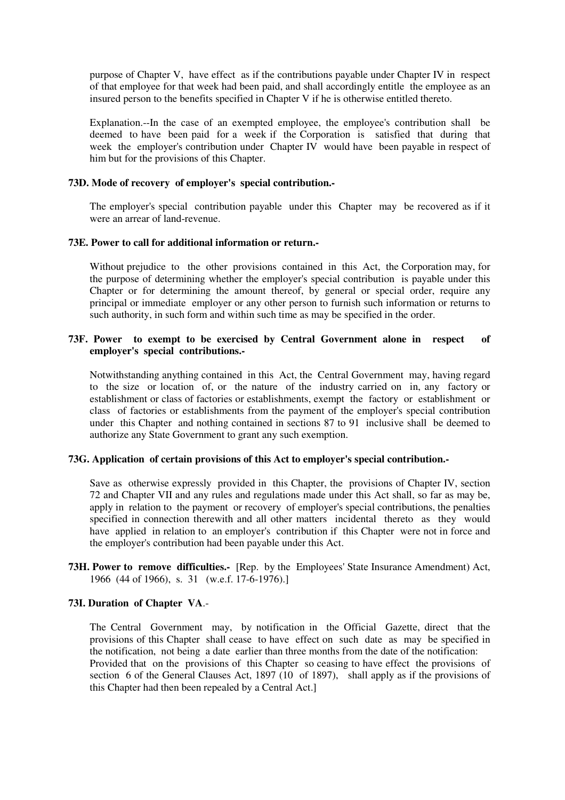purpose of Chapter V, have effect as if the contributions payable under Chapter IV in respect of that employee for that week had been paid, and shall accordingly entitle the employee as an insured person to the benefits specified in Chapter V if he is otherwise entitled thereto.

Explanation.--In the case of an exempted employee, the employee's contribution shall be deemed to have been paid for a week if the Corporation is satisfied that during that week the employer's contribution under Chapter IV would have been payable in respect of him but for the provisions of this Chapter.

### **73D. Mode of recovery of employer's special contribution.-**

The employer's special contribution payable under this Chapter may be recovered as if it were an arrear of land-revenue.

#### **73E. Power to call for additional information or return.-**

Without prejudice to the other provisions contained in this Act, the Corporation may, for the purpose of determining whether the employer's special contribution is payable under this Chapter or for determining the amount thereof, by general or special order, require any principal or immediate employer or any other person to furnish such information or returns to such authority, in such form and within such time as may be specified in the order.

### **73F. Power to exempt to be exercised by Central Government alone in respect of employer's special contributions.-**

Notwithstanding anything contained in this Act, the Central Government may, having regard to the size or location of, or the nature of the industry carried on in, any factory or establishment or class of factories or establishments, exempt the factory or establishment or class of factories or establishments from the payment of the employer's special contribution under this Chapter and nothing contained in sections 87 to 91 inclusive shall be deemed to authorize any State Government to grant any such exemption.

### **73G. Application of certain provisions of this Act to employer's special contribution.-**

Save as otherwise expressly provided in this Chapter, the provisions of Chapter IV, section 72 and Chapter VII and any rules and regulations made under this Act shall, so far as may be, apply in relation to the payment or recovery of employer's special contributions, the penalties specified in connection therewith and all other matters incidental thereto as they would have applied in relation to an employer's contribution if this Chapter were not in force and the employer's contribution had been payable under this Act.

**73H. Power to remove difficulties.-** [Rep. by the Employees' State Insurance Amendment) Act, 1966 (44 of 1966), s. 31 (w.e.f. 17-6-1976).]

#### **73I. Duration of Chapter VA**.-

The Central Government may, by notification in the Official Gazette, direct that the provisions of this Chapter shall cease to have effect on such date as may be specified in the notification, not being a date earlier than three months from the date of the notification: Provided that on the provisions of this Chapter so ceasing to have effect the provisions of section 6 of the General Clauses Act, 1897 (10 of 1897), shall apply as if the provisions of this Chapter had then been repealed by a Central Act.]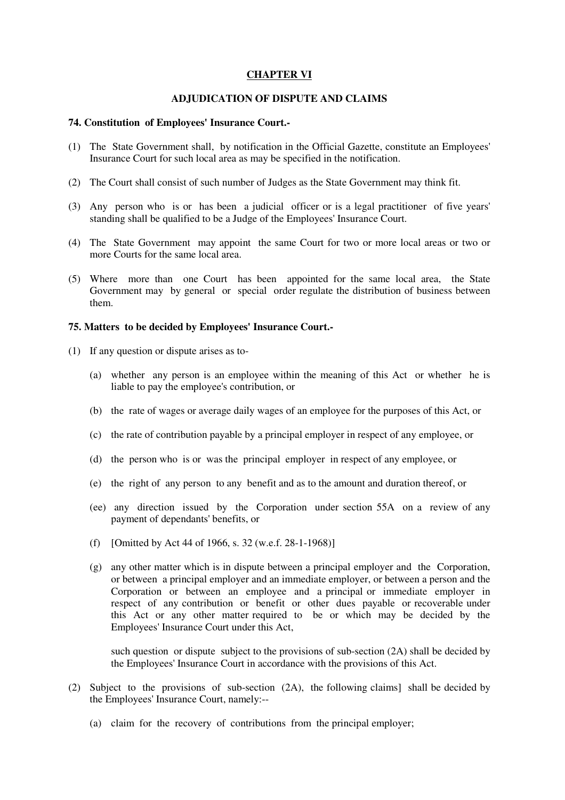### **CHAPTER VI**

### **ADJUDICATION OF DISPUTE AND CLAIMS**

#### **74. Constitution of Employees' Insurance Court.-**

- (1) The State Government shall, by notification in the Official Gazette, constitute an Employees' Insurance Court for such local area as may be specified in the notification.
- (2) The Court shall consist of such number of Judges as the State Government may think fit.
- (3) Any person who is or has been a judicial officer or is a legal practitioner of five years' standing shall be qualified to be a Judge of the Employees' Insurance Court.
- (4) The State Government may appoint the same Court for two or more local areas or two or more Courts for the same local area.
- (5) Where more than one Court has been appointed for the same local area, the State Government may by general or special order regulate the distribution of business between them.

#### **75. Matters to be decided by Employees' Insurance Court.-**

- (1) If any question or dispute arises as to-
	- (a) whether any person is an employee within the meaning of this Act or whether he is liable to pay the employee's contribution, or
	- (b) the rate of wages or average daily wages of an employee for the purposes of this Act, or
	- (c) the rate of contribution payable by a principal employer in respect of any employee, or
	- (d) the person who is or was the principal employer in respect of any employee, or
	- (e) the right of any person to any benefit and as to the amount and duration thereof, or
	- (ee) any direction issued by the Corporation under section 55A on a review of any payment of dependants' benefits, or
	- (f) [Omitted by Act 44 of 1966, s. 32 (w.e.f. 28-1-1968)]
	- (g) any other matter which is in dispute between a principal employer and the Corporation, or between a principal employer and an immediate employer, or between a person and the Corporation or between an employee and a principal or immediate employer in respect of any contribution or benefit or other dues payable or recoverable under this Act or any other matter required to be or which may be decided by the Employees' Insurance Court under this Act,

such question or dispute subject to the provisions of sub-section (2A) shall be decided by the Employees' Insurance Court in accordance with the provisions of this Act.

- (2) Subject to the provisions of sub-section (2A), the following claims] shall be decided by the Employees' Insurance Court, namely:--
	- (a) claim for the recovery of contributions from the principal employer;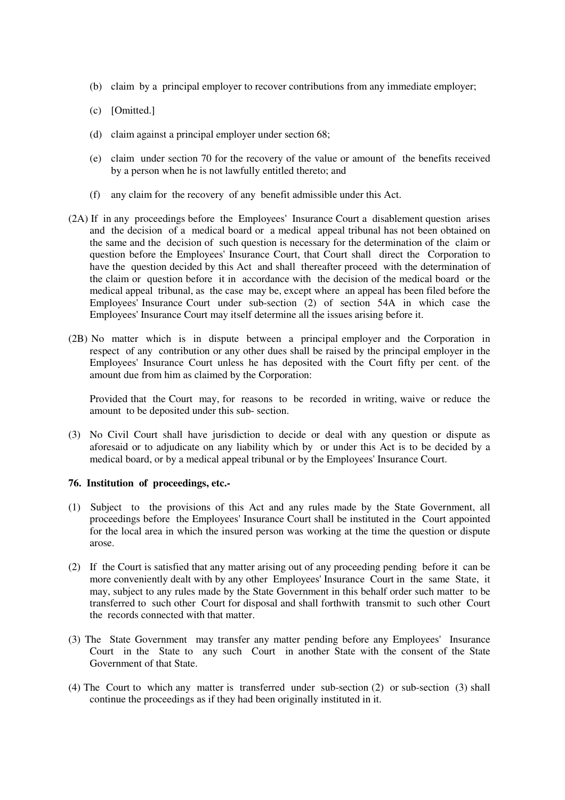- (b) claim by a principal employer to recover contributions from any immediate employer;
- (c) [Omitted.]
- (d) claim against a principal employer under section 68;
- (e) claim under section 70 for the recovery of the value or amount of the benefits received by a person when he is not lawfully entitled thereto; and
- (f) any claim for the recovery of any benefit admissible under this Act.
- (2A) If in any proceedings before the Employees' Insurance Court a disablement question arises and the decision of a medical board or a medical appeal tribunal has not been obtained on the same and the decision of such question is necessary for the determination of the claim or question before the Employees' Insurance Court, that Court shall direct the Corporation to have the question decided by this Act and shall thereafter proceed with the determination of the claim or question before it in accordance with the decision of the medical board or the medical appeal tribunal, as the case may be, except where an appeal has been filed before the Employees' Insurance Court under sub-section (2) of section 54A in which case the Employees' Insurance Court may itself determine all the issues arising before it.
- (2B) No matter which is in dispute between a principal employer and the Corporation in respect of any contribution or any other dues shall be raised by the principal employer in the Employees' Insurance Court unless he has deposited with the Court fifty per cent. of the amount due from him as claimed by the Corporation:

Provided that the Court may, for reasons to be recorded in writing, waive or reduce the amount to be deposited under this sub- section.

(3) No Civil Court shall have jurisdiction to decide or deal with any question or dispute as aforesaid or to adjudicate on any liability which by or under this Act is to be decided by a medical board, or by a medical appeal tribunal or by the Employees' Insurance Court.

#### **76. Institution of proceedings, etc.-**

- (1) Subject to the provisions of this Act and any rules made by the State Government, all proceedings before the Employees' Insurance Court shall be instituted in the Court appointed for the local area in which the insured person was working at the time the question or dispute arose.
- (2) If the Court is satisfied that any matter arising out of any proceeding pending before it can be more conveniently dealt with by any other Employees' Insurance Court in the same State, it may, subject to any rules made by the State Government in this behalf order such matter to be transferred to such other Court for disposal and shall forthwith transmit to such other Court the records connected with that matter.
- (3) The State Government may transfer any matter pending before any Employees' Insurance Court in the State to any such Court in another State with the consent of the State Government of that State.
- (4) The Court to which any matter is transferred under sub-section (2) or sub-section (3) shall continue the proceedings as if they had been originally instituted in it.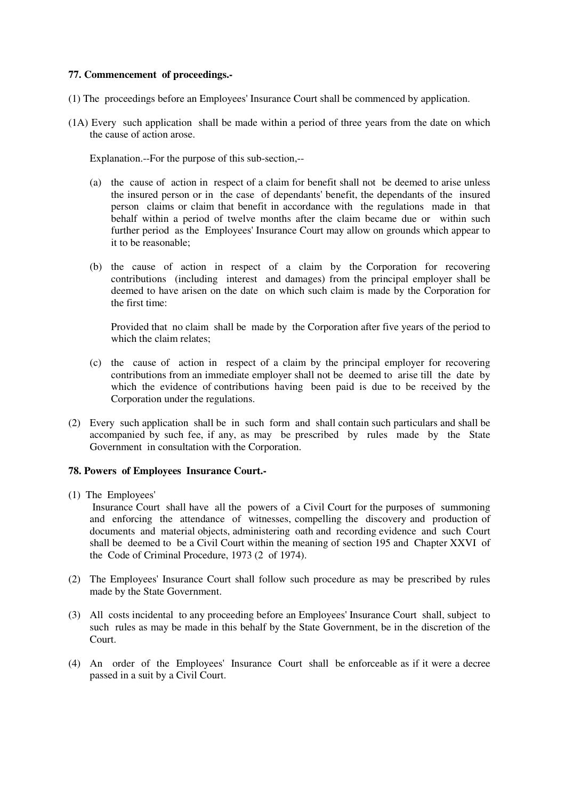### **77. Commencement of proceedings.-**

- (1) The proceedings before an Employees' Insurance Court shall be commenced by application.
- (1A) Every such application shall be made within a period of three years from the date on which the cause of action arose.

Explanation.--For the purpose of this sub-section,--

- (a) the cause of action in respect of a claim for benefit shall not be deemed to arise unless the insured person or in the case of dependants' benefit, the dependants of the insured person claims or claim that benefit in accordance with the regulations made in that behalf within a period of twelve months after the claim became due or within such further period as the Employees' Insurance Court may allow on grounds which appear to it to be reasonable;
- (b) the cause of action in respect of a claim by the Corporation for recovering contributions (including interest and damages) from the principal employer shall be deemed to have arisen on the date on which such claim is made by the Corporation for the first time:

Provided that no claim shall be made by the Corporation after five years of the period to which the claim relates;

- (c) the cause of action in respect of a claim by the principal employer for recovering contributions from an immediate employer shall not be deemed to arise till the date by which the evidence of contributions having been paid is due to be received by the Corporation under the regulations.
- (2) Every such application shall be in such form and shall contain such particulars and shall be accompanied by such fee, if any, as may be prescribed by rules made by the State Government in consultation with the Corporation.

#### **78. Powers of Employees Insurance Court.-**

(1) The Employees'

 Insurance Court shall have all the powers of a Civil Court for the purposes of summoning and enforcing the attendance of witnesses, compelling the discovery and production of documents and material objects, administering oath and recording evidence and such Court shall be deemed to be a Civil Court within the meaning of section 195 and Chapter XXVI of the Code of Criminal Procedure, 1973 (2 of 1974).

- (2) The Employees' Insurance Court shall follow such procedure as may be prescribed by rules made by the State Government.
- (3) All costs incidental to any proceeding before an Employees' Insurance Court shall, subject to such rules as may be made in this behalf by the State Government, be in the discretion of the Court.
- (4) An order of the Employees' Insurance Court shall be enforceable as if it were a decree passed in a suit by a Civil Court.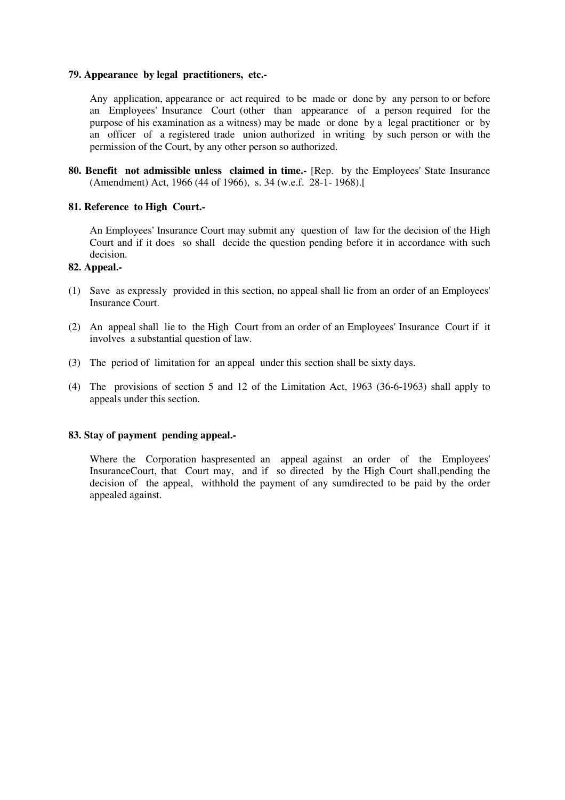#### **79. Appearance by legal practitioners, etc.-**

Any application, appearance or act required to be made or done by any person to or before an Employees' Insurance Court (other than appearance of a person required for the purpose of his examination as a witness) may be made or done by a legal practitioner or by an officer of a registered trade union authorized in writing by such person or with the permission of the Court, by any other person so authorized.

**80. Benefit not admissible unless claimed in time.-** [Rep. by the Employees' State Insurance (Amendment) Act, 1966 (44 of 1966), s. 34 (w.e.f. 28-1- 1968).[

### **81. Reference to High Court.-**

An Employees' Insurance Court may submit any question of law for the decision of the High Court and if it does so shall decide the question pending before it in accordance with such decision.

### **82. Appeal.-**

- (1) Save as expressly provided in this section, no appeal shall lie from an order of an Employees' Insurance Court.
- (2) An appeal shall lie to the High Court from an order of an Employees' Insurance Court if it involves a substantial question of law.
- (3) The period of limitation for an appeal under this section shall be sixty days.
- (4) The provisions of section 5 and 12 of the Limitation Act, 1963 (36-6-1963) shall apply to appeals under this section.

### **83. Stay of payment pending appeal.-**

Where the Corporation haspresented an appeal against an order of the Employees' InsuranceCourt, that Court may, and if so directed by the High Court shall,pending the decision of the appeal, withhold the payment of any sumdirected to be paid by the order appealed against.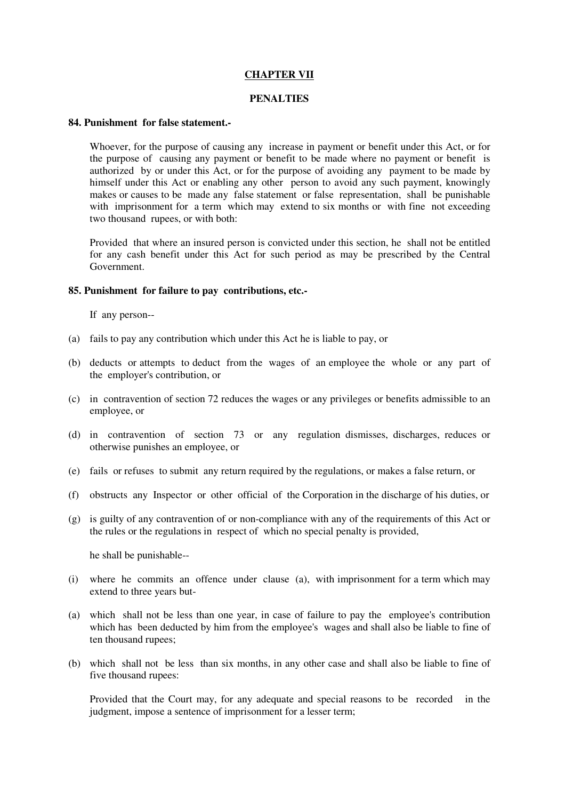### **CHAPTER VII**

### **PENALTIES**

#### **84. Punishment for false statement.-**

Whoever, for the purpose of causing any increase in payment or benefit under this Act, or for the purpose of causing any payment or benefit to be made where no payment or benefit is authorized by or under this Act, or for the purpose of avoiding any payment to be made by himself under this Act or enabling any other person to avoid any such payment, knowingly makes or causes to be made any false statement or false representation, shall be punishable with imprisonment for a term which may extend to six months or with fine not exceeding two thousand rupees, or with both:

Provided that where an insured person is convicted under this section, he shall not be entitled for any cash benefit under this Act for such period as may be prescribed by the Central Government.

#### **85. Punishment for failure to pay contributions, etc.-**

If any person--

- (a) fails to pay any contribution which under this Act he is liable to pay, or
- (b) deducts or attempts to deduct from the wages of an employee the whole or any part of the employer's contribution, or
- (c) in contravention of section 72 reduces the wages or any privileges or benefits admissible to an employee, or
- (d) in contravention of section 73 or any regulation dismisses, discharges, reduces or otherwise punishes an employee, or
- (e) fails or refuses to submit any return required by the regulations, or makes a false return, or
- (f) obstructs any Inspector or other official of the Corporation in the discharge of his duties, or
- (g) is guilty of any contravention of or non-compliance with any of the requirements of this Act or the rules or the regulations in respect of which no special penalty is provided,

he shall be punishable--

- (i) where he commits an offence under clause (a), with imprisonment for a term which may extend to three years but-
- (a) which shall not be less than one year, in case of failure to pay the employee's contribution which has been deducted by him from the employee's wages and shall also be liable to fine of ten thousand rupees;
- (b) which shall not be less than six months, in any other case and shall also be liable to fine of five thousand rupees:

Provided that the Court may, for any adequate and special reasons to be recorded in the judgment, impose a sentence of imprisonment for a lesser term;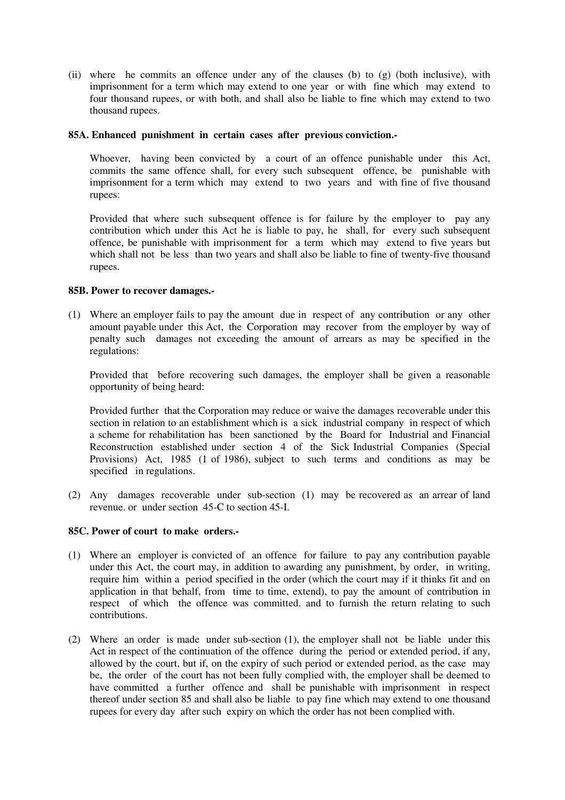(ii) where he commits an offence under any of the clauses (b) to (g) (both inclusive), with imprisonment for a term which may extend to one year or with fine which may extend to four thousand rupees, or with both, and shall also be liable to fine which may extend to two thousand rupees.

### **85A. Enhanced punishment in certain cases after previous conviction.-**

Whoever, having been convicted by a court of an offence punishable under this Act, commits the same offence shall, for every such subsequent offence, be punishable with imprisonment for a term which may extend to two years and with fine of five thousand rupees:

Provided that where such subsequent offence is for failure by the employer to pay any contribution which under this Act he is liable to pay, he shall, for every such subsequent offence, be punishable with imprisonment for a term which may extend to five years but which shall not be less than two years and shall also be liable to fine of twenty-five thousand rupees.

#### **85B. Power to recover damages.-**

(1) Where an employer fails to pay the amount due in respect of any contribution or any other amount payable under this Act, the Corporation may recover from the employer by way of penalty such damages not exceeding the amount of arrears as may be specified in the regulations:

Provided that before recovering such damages, the employer shall be given a reasonable opportunity of being heard:

Provided further that the Corporation may reduce or waive the damages recoverable under this section in relation to an establishment which is a sick industrial company in respect of which a scheme for rehabilitation has been sanctioned by the Board for Industrial and Financial Reconstruction established under section 4 of the Sick Industrial Companies (Special Provisions) Act, 1985 (1 of 1986), subject to such terms and conditions as may be specified in regulations.

(2) Any damages recoverable under sub-section (1) may be recovered as an arrear of land revenue. or under section 45-C to section 45-I.

### **85C. Power of court to make orders.-**

- (1) Where an employer is convicted of an offence for failure to pay any contribution payable under this Act, the court may, in addition to awarding any punishment, by order, in writing, require him within a period specified in the order (which the court may if it thinks fit and on application in that behalf, from time to time, extend), to pay the amount of contribution in respect of which the offence was committed. and to furnish the return relating to such contributions.
- (2) Where an order is made under sub-section (1), the employer shall not be liable under this Act in respect of the continuation of the offence during the period or extended period, if any, allowed by the court, but if, on the expiry of such period or extended period, as the case may be, the order of the court has not been fully complied with, the employer shall be deemed to have committed a further offence and shall be punishable with imprisonment in respect thereof under section 85 and shall also be liable to pay fine which may extend to one thousand rupees for every day after such expiry on which the order has not been complied with.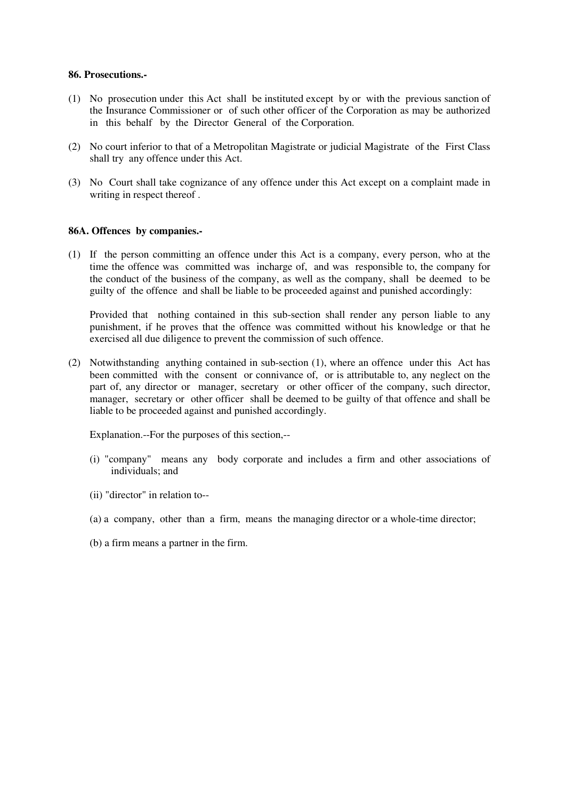#### **86. Prosecutions.-**

- (1) No prosecution under this Act shall be instituted except by or with the previous sanction of the Insurance Commissioner or of such other officer of the Corporation as may be authorized in this behalf by the Director General of the Corporation.
- (2) No court inferior to that of a Metropolitan Magistrate or judicial Magistrate of the First Class shall try any offence under this Act.
- (3) No Court shall take cognizance of any offence under this Act except on a complaint made in writing in respect thereof .

### **86A. Offences by companies.-**

(1) If the person committing an offence under this Act is a company, every person, who at the time the offence was committed was incharge of, and was responsible to, the company for the conduct of the business of the company, as well as the company, shall be deemed to be guilty of the offence and shall be liable to be proceeded against and punished accordingly:

Provided that nothing contained in this sub-section shall render any person liable to any punishment, if he proves that the offence was committed without his knowledge or that he exercised all due diligence to prevent the commission of such offence.

(2) Notwithstanding anything contained in sub-section (1), where an offence under this Act has been committed with the consent or connivance of, or is attributable to, any neglect on the part of, any director or manager, secretary or other officer of the company, such director, manager, secretary or other officer shall be deemed to be guilty of that offence and shall be liable to be proceeded against and punished accordingly.

Explanation.--For the purposes of this section,--

- (i) "company" means any body corporate and includes a firm and other associations of individuals; and
- (ii) "director" in relation to--
- (a) a company, other than a firm, means the managing director or a whole-time director;
- (b) a firm means a partner in the firm.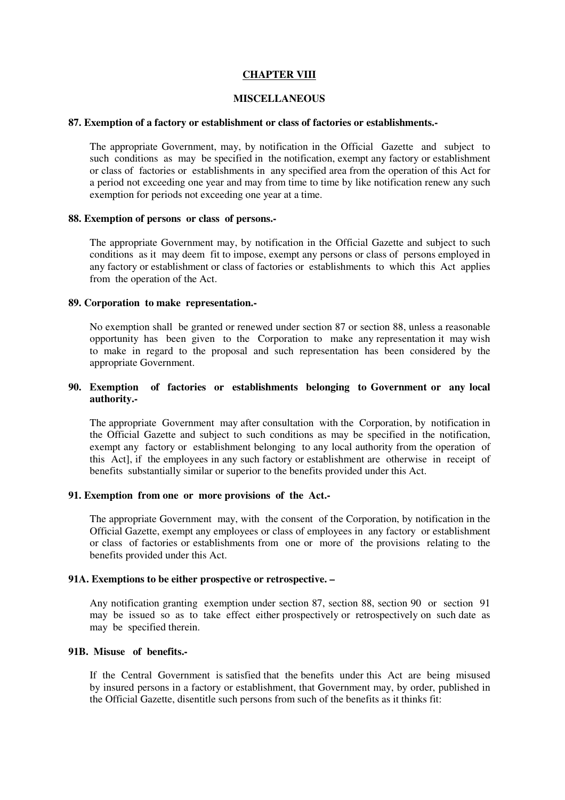### **CHAPTER VIII**

### **MISCELLANEOUS**

#### **87. Exemption of a factory or establishment or class of factories or establishments.-**

The appropriate Government, may, by notification in the Official Gazette and subject to such conditions as may be specified in the notification, exempt any factory or establishment or class of factories or establishments in any specified area from the operation of this Act for a period not exceeding one year and may from time to time by like notification renew any such exemption for periods not exceeding one year at a time.

#### **88. Exemption of persons or class of persons.-**

The appropriate Government may, by notification in the Official Gazette and subject to such conditions as it may deem fit to impose, exempt any persons or class of persons employed in any factory or establishment or class of factories or establishments to which this Act applies from the operation of the Act.

#### **89. Corporation to make representation.-**

No exemption shall be granted or renewed under section 87 or section 88, unless a reasonable opportunity has been given to the Corporation to make any representation it may wish to make in regard to the proposal and such representation has been considered by the appropriate Government.

### **90. Exemption of factories or establishments belonging to Government or any local authority.-**

The appropriate Government may after consultation with the Corporation, by notification in the Official Gazette and subject to such conditions as may be specified in the notification, exempt any factory or establishment belonging to any local authority from the operation of this Act], if the employees in any such factory or establishment are otherwise in receipt of benefits substantially similar or superior to the benefits provided under this Act.

### **91. Exemption from one or more provisions of the Act.-**

The appropriate Government may, with the consent of the Corporation, by notification in the Official Gazette, exempt any employees or class of employees in any factory or establishment or class of factories or establishments from one or more of the provisions relating to the benefits provided under this Act.

### **91A. Exemptions to be either prospective or retrospective. –**

Any notification granting exemption under section 87, section 88, section 90 or section 91 may be issued so as to take effect either prospectively or retrospectively on such date as may be specified therein.

### **91B. Misuse of benefits.-**

If the Central Government is satisfied that the benefits under this Act are being misused by insured persons in a factory or establishment, that Government may, by order, published in the Official Gazette, disentitle such persons from such of the benefits as it thinks fit: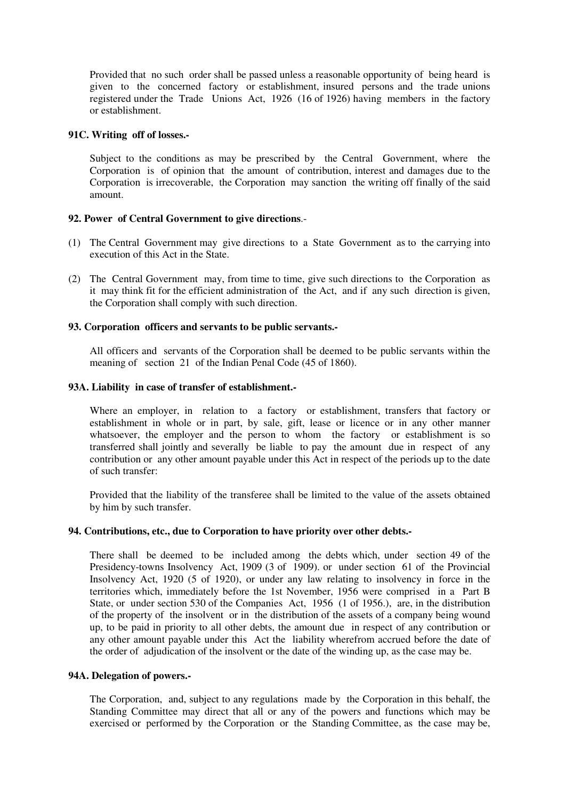Provided that no such order shall be passed unless a reasonable opportunity of being heard is given to the concerned factory or establishment, insured persons and the trade unions registered under the Trade Unions Act, 1926 (16 of 1926) having members in the factory or establishment.

### **91C. Writing off of losses.-**

Subject to the conditions as may be prescribed by the Central Government, where the Corporation is of opinion that the amount of contribution, interest and damages due to the Corporation is irrecoverable, the Corporation may sanction the writing off finally of the said amount.

# **92. Power of Central Government to give directions**.-

- (1) The Central Government may give directions to a State Government as to the carrying into execution of this Act in the State.
- (2) The Central Government may, from time to time, give such directions to the Corporation as it may think fit for the efficient administration of the Act, and if any such direction is given, the Corporation shall comply with such direction.

### **93. Corporation officers and servants to be public servants.-**

All officers and servants of the Corporation shall be deemed to be public servants within the meaning of section 21 of the Indian Penal Code (45 of 1860).

### **93A. Liability in case of transfer of establishment.-**

Where an employer, in relation to a factory or establishment, transfers that factory or establishment in whole or in part, by sale, gift, lease or licence or in any other manner whatsoever, the employer and the person to whom the factory or establishment is so transferred shall jointly and severally be liable to pay the amount due in respect of any contribution or any other amount payable under this Act in respect of the periods up to the date of such transfer:

Provided that the liability of the transferee shall be limited to the value of the assets obtained by him by such transfer.

### **94. Contributions, etc., due to Corporation to have priority over other debts.-**

There shall be deemed to be included among the debts which, under section 49 of the Presidency-towns Insolvency Act, 1909 (3 of 1909). or under section 61 of the Provincial Insolvency Act, 1920 (5 of 1920), or under any law relating to insolvency in force in the territories which, immediately before the 1st November, 1956 were comprised in a Part B State, or under section 530 of the Companies Act, 1956 (1 of 1956.), are, in the distribution of the property of the insolvent or in the distribution of the assets of a company being wound up, to be paid in priority to all other debts, the amount due in respect of any contribution or any other amount payable under this Act the liability wherefrom accrued before the date of the order of adjudication of the insolvent or the date of the winding up, as the case may be.

# **94A. Delegation of powers.-**

The Corporation, and, subject to any regulations made by the Corporation in this behalf, the Standing Committee may direct that all or any of the powers and functions which may be exercised or performed by the Corporation or the Standing Committee, as the case may be,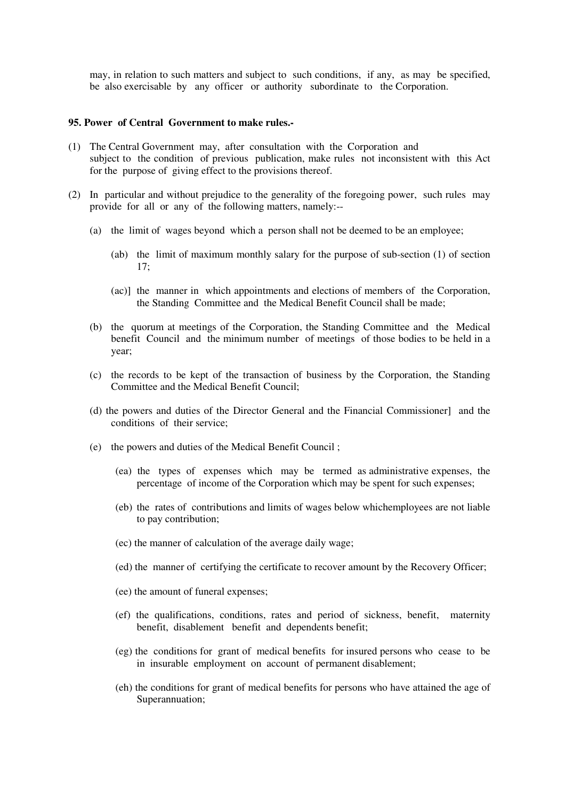may, in relation to such matters and subject to such conditions, if any, as may be specified, be also exercisable by any officer or authority subordinate to the Corporation.

#### **95. Power of Central Government to make rules.-**

- (1) The Central Government may, after consultation with the Corporation and subject to the condition of previous publication, make rules not inconsistent with this Act for the purpose of giving effect to the provisions thereof.
- (2) In particular and without prejudice to the generality of the foregoing power, such rules may provide for all or any of the following matters, namely:--
	- (a) the limit of wages beyond which a person shall not be deemed to be an employee;
		- (ab) the limit of maximum monthly salary for the purpose of sub-section (1) of section  $17:$
		- (ac)] the manner in which appointments and elections of members of the Corporation, the Standing Committee and the Medical Benefit Council shall be made;
	- (b) the quorum at meetings of the Corporation, the Standing Committee and the Medical benefit Council and the minimum number of meetings of those bodies to be held in a year;
	- (c) the records to be kept of the transaction of business by the Corporation, the Standing Committee and the Medical Benefit Council;
	- (d) the powers and duties of the Director General and the Financial Commissioner] and the conditions of their service;
	- (e) the powers and duties of the Medical Benefit Council ;
		- (ea) the types of expenses which may be termed as administrative expenses, the percentage of income of the Corporation which may be spent for such expenses;
		- (eb) the rates of contributions and limits of wages below whichemployees are not liable to pay contribution;
		- (ec) the manner of calculation of the average daily wage;
		- (ed) the manner of certifying the certificate to recover amount by the Recovery Officer;
		- (ee) the amount of funeral expenses;
		- (ef) the qualifications, conditions, rates and period of sickness, benefit, maternity benefit, disablement benefit and dependents benefit;
		- (eg) the conditions for grant of medical benefits for insured persons who cease to be in insurable employment on account of permanent disablement;
		- (eh) the conditions for grant of medical benefits for persons who have attained the age of Superannuation;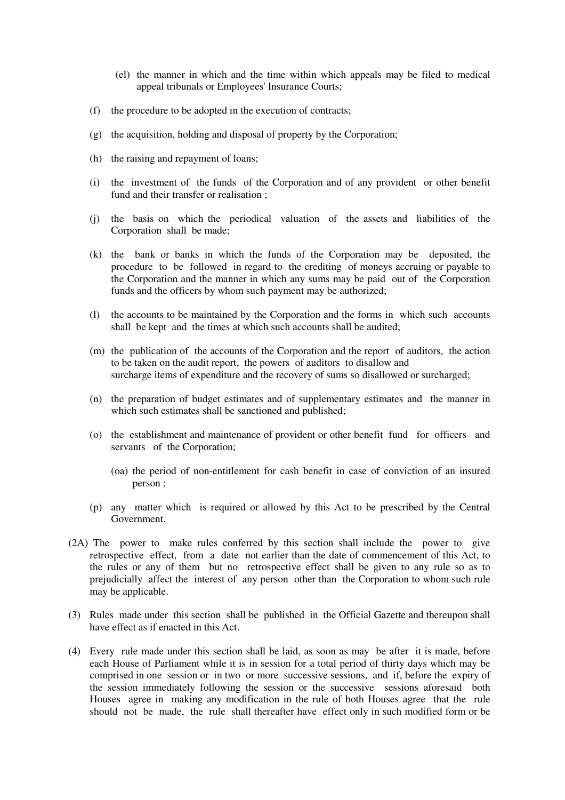- (el) the manner in which and the time within which appeals may be filed to medical appeal tribunals or Employees' Insurance Courts;
- (f) the procedure to be adopted in the execution of contracts;
- (g) the acquisition, holding and disposal of property by the Corporation;
- (h) the raising and repayment of loans;
- (i) the investment of the funds of the Corporation and of any provident or other benefit fund and their transfer or realisation ;
- (j) the basis on which the periodical valuation of the assets and liabilities of the Corporation shall be made;
- (k) the bank or banks in which the funds of the Corporation may be deposited, the procedure to be followed in regard to the crediting of moneys accruing or payable to the Corporation and the manner in which any sums may be paid out of the Corporation funds and the officers by whom such payment may be authorized;
- (l) the accounts to be maintained by the Corporation and the forms in which such accounts shall be kept and the times at which such accounts shall be audited;
- (m) the publication of the accounts of the Corporation and the report of auditors, the action to be taken on the audit report, the powers of auditors to disallow and surcharge items of expenditure and the recovery of sums so disallowed or surcharged;
- (n) the preparation of budget estimates and of supplementary estimates and the manner in which such estimates shall be sanctioned and published;
- (o) the establishment and maintenance of provident or other benefit fund for officers and servants of the Corporation;
	- (oa) the period of non-entitlement for cash benefit in case of conviction of an insured person ;
- (p) any matter which is required or allowed by this Act to be prescribed by the Central Government.
- (2A) The power to make rules conferred by this section shall include the power to give retrospective effect, from a date not earlier than the date of commencement of this Act, to the rules or any of them but no retrospective effect shall be given to any rule so as to prejudicially affect the interest of any person other than the Corporation to whom such rule may be applicable.
- (3) Rules made under this section shall be published in the Official Gazette and thereupon shall have effect as if enacted in this Act.
- (4) Every rule made under this section shall be laid, as soon as may be after it is made, before each House of Parliament while it is in session for a total period of thirty days which may be comprised in one session or in two or more successive sessions, and if, before the expiry of the session immediately following the session or the successive sessions aforesaid both Houses agree in making any modification in the rule of both Houses agree that the rule should not be made, the rule shall thereafter have effect only in such modified form or be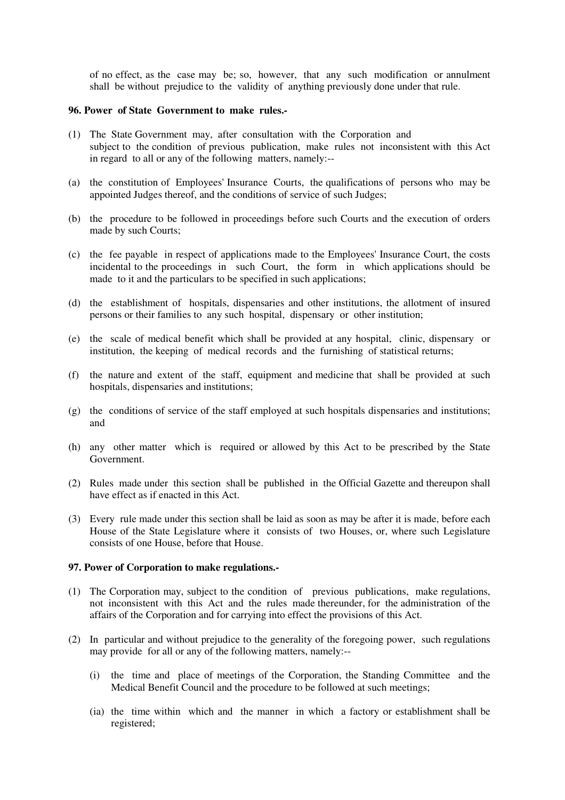of no effect, as the case may be; so, however, that any such modification or annulment shall be without prejudice to the validity of anything previously done under that rule.

#### **96. Power of State Government to make rules.-**

- (1) The State Government may, after consultation with the Corporation and subject to the condition of previous publication, make rules not inconsistent with this Act in regard to all or any of the following matters, namely:--
- (a) the constitution of Employees' Insurance Courts, the qualifications of persons who may be appointed Judges thereof, and the conditions of service of such Judges;
- (b) the procedure to be followed in proceedings before such Courts and the execution of orders made by such Courts;
- (c) the fee payable in respect of applications made to the Employees' Insurance Court, the costs incidental to the proceedings in such Court, the form in which applications should be made to it and the particulars to be specified in such applications;
- (d) the establishment of hospitals, dispensaries and other institutions, the allotment of insured persons or their families to any such hospital, dispensary or other institution;
- (e) the scale of medical benefit which shall be provided at any hospital, clinic, dispensary or institution, the keeping of medical records and the furnishing of statistical returns;
- (f) the nature and extent of the staff, equipment and medicine that shall be provided at such hospitals, dispensaries and institutions;
- (g) the conditions of service of the staff employed at such hospitals dispensaries and institutions; and
- (h) any other matter which is required or allowed by this Act to be prescribed by the State Government.
- (2) Rules made under this section shall be published in the Official Gazette and thereupon shall have effect as if enacted in this Act.
- (3) Every rule made under this section shall be laid as soon as may be after it is made, before each House of the State Legislature where it consists of two Houses, or, where such Legislature consists of one House, before that House.

#### **97. Power of Corporation to make regulations.-**

- (1) The Corporation may, subject to the condition of previous publications, make regulations, not inconsistent with this Act and the rules made thereunder, for the administration of the affairs of the Corporation and for carrying into effect the provisions of this Act.
- (2) In particular and without prejudice to the generality of the foregoing power, such regulations may provide for all or any of the following matters, namely:--
	- (i) the time and place of meetings of the Corporation, the Standing Committee and the Medical Benefit Council and the procedure to be followed at such meetings;
	- (ia) the time within which and the manner in which a factory or establishment shall be registered;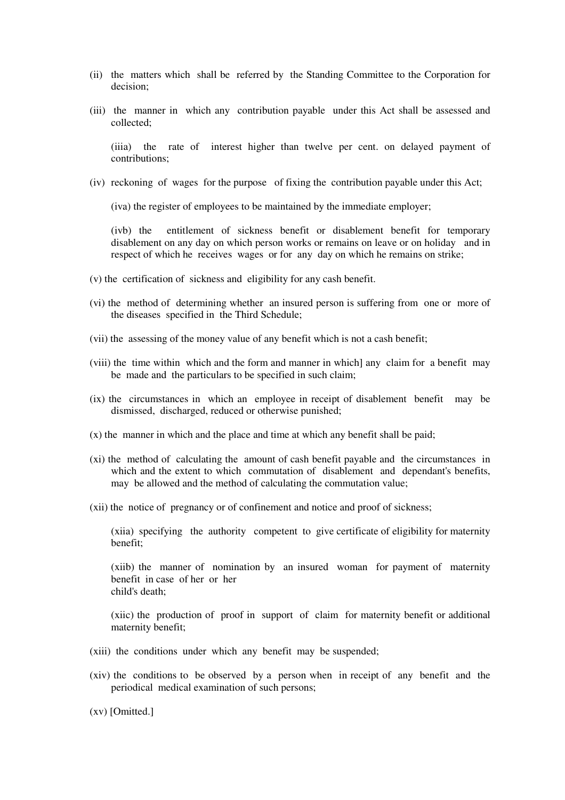- (ii) the matters which shall be referred by the Standing Committee to the Corporation for decision;
- (iii) the manner in which any contribution payable under this Act shall be assessed and collected;

(iiia) the rate of interest higher than twelve per cent. on delayed payment of contributions;

(iv) reckoning of wages for the purpose of fixing the contribution payable under this Act;

(iva) the register of employees to be maintained by the immediate employer;

(ivb) the entitlement of sickness benefit or disablement benefit for temporary disablement on any day on which person works or remains on leave or on holiday and in respect of which he receives wages or for any day on which he remains on strike;

- (v) the certification of sickness and eligibility for any cash benefit.
- (vi) the method of determining whether an insured person is suffering from one or more of the diseases specified in the Third Schedule;
- (vii) the assessing of the money value of any benefit which is not a cash benefit;
- (viii) the time within which and the form and manner in which] any claim for a benefit may be made and the particulars to be specified in such claim;
- (ix) the circumstances in which an employee in receipt of disablement benefit may be dismissed, discharged, reduced or otherwise punished;
- (x) the manner in which and the place and time at which any benefit shall be paid;
- (xi) the method of calculating the amount of cash benefit payable and the circumstances in which and the extent to which commutation of disablement and dependant's benefits, may be allowed and the method of calculating the commutation value;
- (xii) the notice of pregnancy or of confinement and notice and proof of sickness;

(xiia) specifying the authority competent to give certificate of eligibility for maternity benefit;

(xiib) the manner of nomination by an insured woman for payment of maternity benefit in case of her or her child's death;

(xiic) the production of proof in support of claim for maternity benefit or additional maternity benefit;

- (xiii) the conditions under which any benefit may be suspended;
- (xiv) the conditions to be observed by a person when in receipt of any benefit and the periodical medical examination of such persons;

(xv) [Omitted.]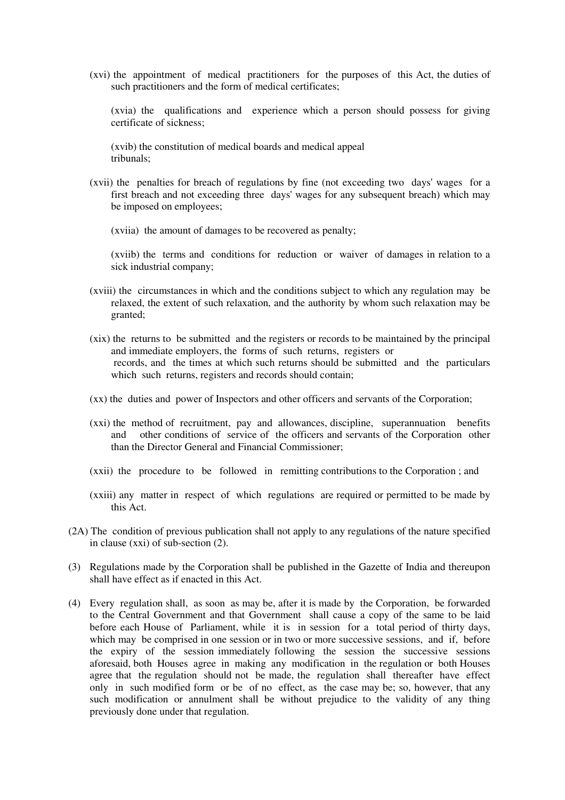(xvi) the appointment of medical practitioners for the purposes of this Act, the duties of such practitioners and the form of medical certificates;

(xvia) the qualifications and experience which a person should possess for giving certificate of sickness;

(xvib) the constitution of medical boards and medical appeal tribunals;

- (xvii) the penalties for breach of regulations by fine (not exceeding two days' wages for a first breach and not exceeding three days' wages for any subsequent breach) which may be imposed on employees;
	- (xviia) the amount of damages to be recovered as penalty;

(xviib) the terms and conditions for reduction or waiver of damages in relation to a sick industrial company;

- (xviii) the circumstances in which and the conditions subject to which any regulation may be relaxed, the extent of such relaxation, and the authority by whom such relaxation may be granted;
- (xix) the returns to be submitted and the registers or records to be maintained by the principal and immediate employers, the forms of such returns, registers or records, and the times at which such returns should be submitted and the particulars which such returns, registers and records should contain;
- (xx) the duties and power of Inspectors and other officers and servants of the Corporation;
- (xxi) the method of recruitment, pay and allowances, discipline, superannuation benefits and other conditions of service of the officers and servants of the Corporation other than the Director General and Financial Commissioner;
- (xxii) the procedure to be followed in remitting contributions to the Corporation ; and
- (xxiii) any matter in respect of which regulations are required or permitted to be made by this Act.
- (2A) The condition of previous publication shall not apply to any regulations of the nature specified in clause (xxi) of sub-section (2).
- (3) Regulations made by the Corporation shall be published in the Gazette of India and thereupon shall have effect as if enacted in this Act.
- (4) Every regulation shall, as soon as may be, after it is made by the Corporation, be forwarded to the Central Government and that Government shall cause a copy of the same to be laid before each House of Parliament, while it is in session for a total period of thirty days, which may be comprised in one session or in two or more successive sessions, and if, before the expiry of the session immediately following the session the successive sessions aforesaid, both Houses agree in making any modification in the regulation or both Houses agree that the regulation should not be made, the regulation shall thereafter have effect only in such modified form or be of no effect, as the case may be; so, however, that any such modification or annulment shall be without prejudice to the validity of any thing previously done under that regulation.